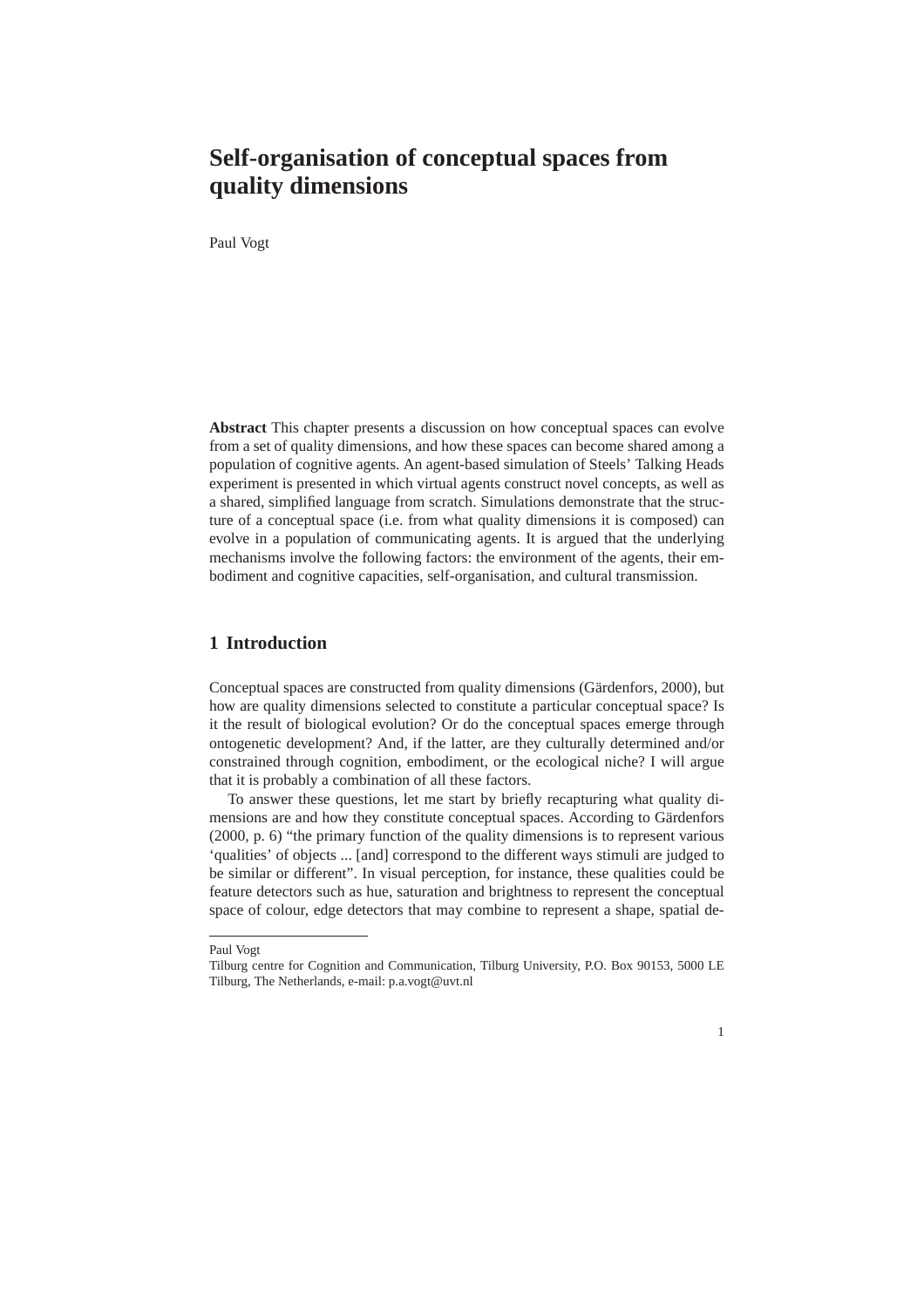Paul Vogt

**Abstract** This chapter presents a discussion on how conceptual spaces can evolve from a set of quality dimensions, and how these spaces can become shared among a population of cognitive agents. An agent-based simulation of Steels' Talking Heads experiment is presented in which virtual agents construct novel concepts, as well as a shared, simplified language from scratch. Simulations demonstrate that the structure of a conceptual space (i.e. from what quality dimensions it is composed) can evolve in a population of communicating agents. It is argued that the underlying mechanisms involve the following factors: the environment of the agents, their embodiment and cognitive capacities, self-organisation, and cultural transmission.

# **1 Introduction**

Conceptual spaces are constructed from quality dimensions (Gärdenfors, 2000), but how are quality dimensions selected to constitute a particular conceptual space? Is it the result of biological evolution? Or do the conceptual spaces emerge through ontogenetic development? And, if the latter, are they culturally determined and/or constrained through cognition, embodiment, or the ecological niche? I will argue that it is probably a combination of all these factors.

To answer these questions, let me start by briefly recapturing what quality dimensions are and how they constitute conceptual spaces. According to Gärdenfors (2000, p. 6) "the primary function of the quality dimensions is to represent various 'qualities' of objects ... [and] correspond to the different ways stimuli are judged to be similar or different". In visual perception, for instance, these qualities could be feature detectors such as hue, saturation and brightness to represent the conceptual space of colour, edge detectors that may combine to represent a shape, spatial de-

Tilburg centre for Cognition and Communication, Tilburg University, P.O. Box 90153, 5000 LE Tilburg, The Netherlands, e-mail: p.a.vogt@uvt.nl



Paul Vogt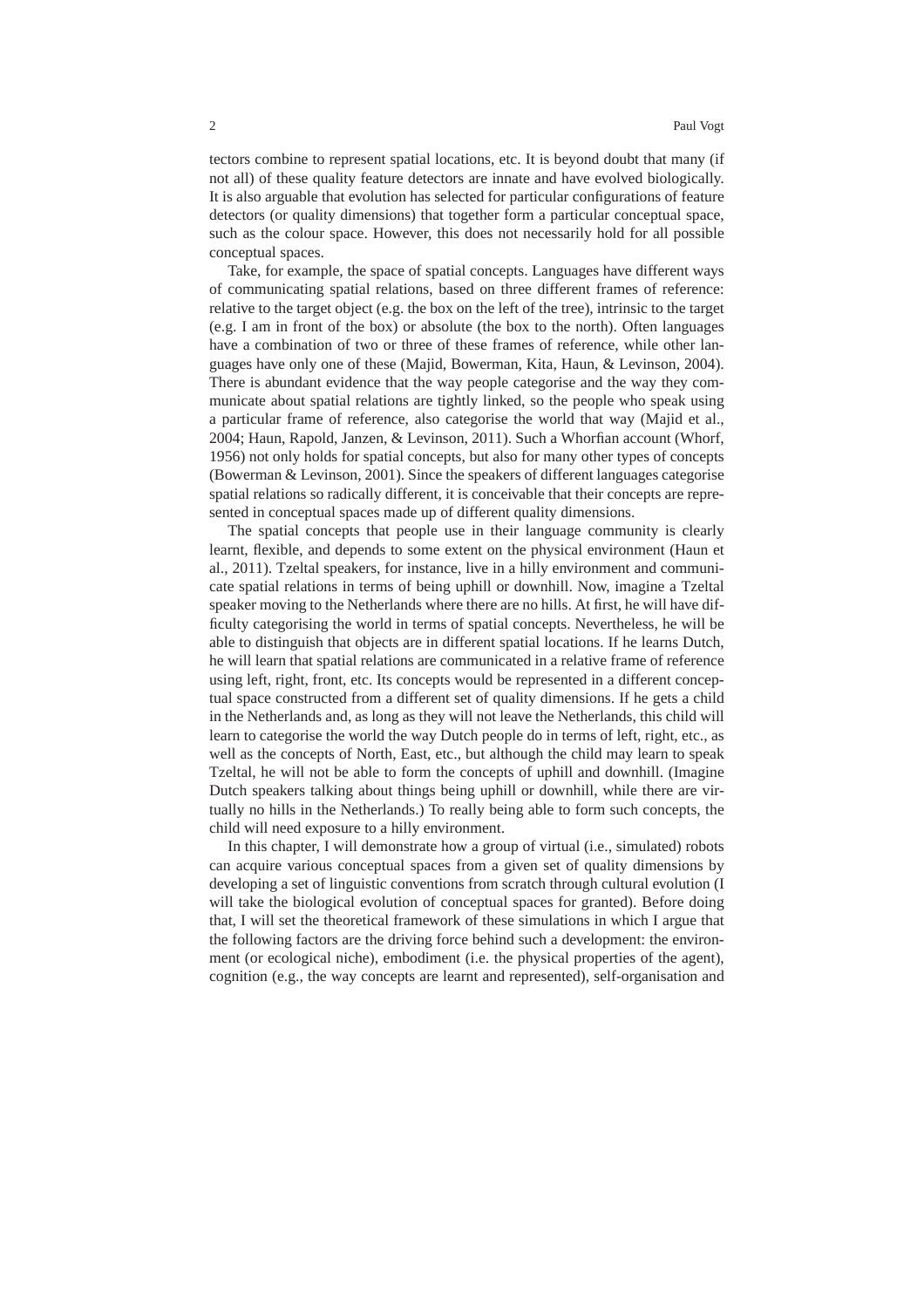tectors combine to represent spatial locations, etc. It is beyond doubt that many (if not all) of these quality feature detectors are innate and have evolved biologically. It is also arguable that evolution has selected for particular configurations of feature detectors (or quality dimensions) that together form a particular conceptual space, such as the colour space. However, this does not necessarily hold for all possible conceptual spaces.

Take, for example, the space of spatial concepts. Languages have different ways of communicating spatial relations, based on three different frames of reference: relative to the target object (e.g. the box on the left of the tree), intrinsic to the target (e.g. I am in front of the box) or absolute (the box to the north). Often languages have a combination of two or three of these frames of reference, while other languages have only one of these (Majid, Bowerman, Kita, Haun, & Levinson, 2004). There is abundant evidence that the way people categorise and the way they communicate about spatial relations are tightly linked, so the people who speak using a particular frame of reference, also categorise the world that way (Majid et al., 2004; Haun, Rapold, Janzen, & Levinson, 2011). Such a Whorfian account (Whorf, 1956) not only holds for spatial concepts, but also for many other types of concepts (Bowerman & Levinson, 2001). Since the speakers of different languages categorise spatial relations so radically different, it is conceivable that their concepts are represented in conceptual spaces made up of different quality dimensions.

The spatial concepts that people use in their language community is clearly learnt, flexible, and depends to some extent on the physical environment (Haun et al., 2011). Tzeltal speakers, for instance, live in a hilly environment and communicate spatial relations in terms of being uphill or downhill. Now, imagine a Tzeltal speaker moving to the Netherlands where there are no hills. At first, he will have difficulty categorising the world in terms of spatial concepts. Nevertheless, he will be able to distinguish that objects are in different spatial locations. If he learns Dutch, he will learn that spatial relations are communicated in a relative frame of reference using left, right, front, etc. Its concepts would be represented in a different conceptual space constructed from a different set of quality dimensions. If he gets a child in the Netherlands and, as long as they will not leave the Netherlands, this child will learn to categorise the world the way Dutch people do in terms of left, right, etc., as well as the concepts of North, East, etc., but although the child may learn to speak Tzeltal, he will not be able to form the concepts of uphill and downhill. (Imagine Dutch speakers talking about things being uphill or downhill, while there are virtually no hills in the Netherlands.) To really being able to form such concepts, the child will need exposure to a hilly environment.

In this chapter, I will demonstrate how a group of virtual (i.e., simulated) robots can acquire various conceptual spaces from a given set of quality dimensions by developing a set of linguistic conventions from scratch through cultural evolution (I will take the biological evolution of conceptual spaces for granted). Before doing that, I will set the theoretical framework of these simulations in which I argue that the following factors are the driving force behind such a development: the environment (or ecological niche), embodiment (i.e. the physical properties of the agent), cognition (e.g., the way concepts are learnt and represented), self-organisation and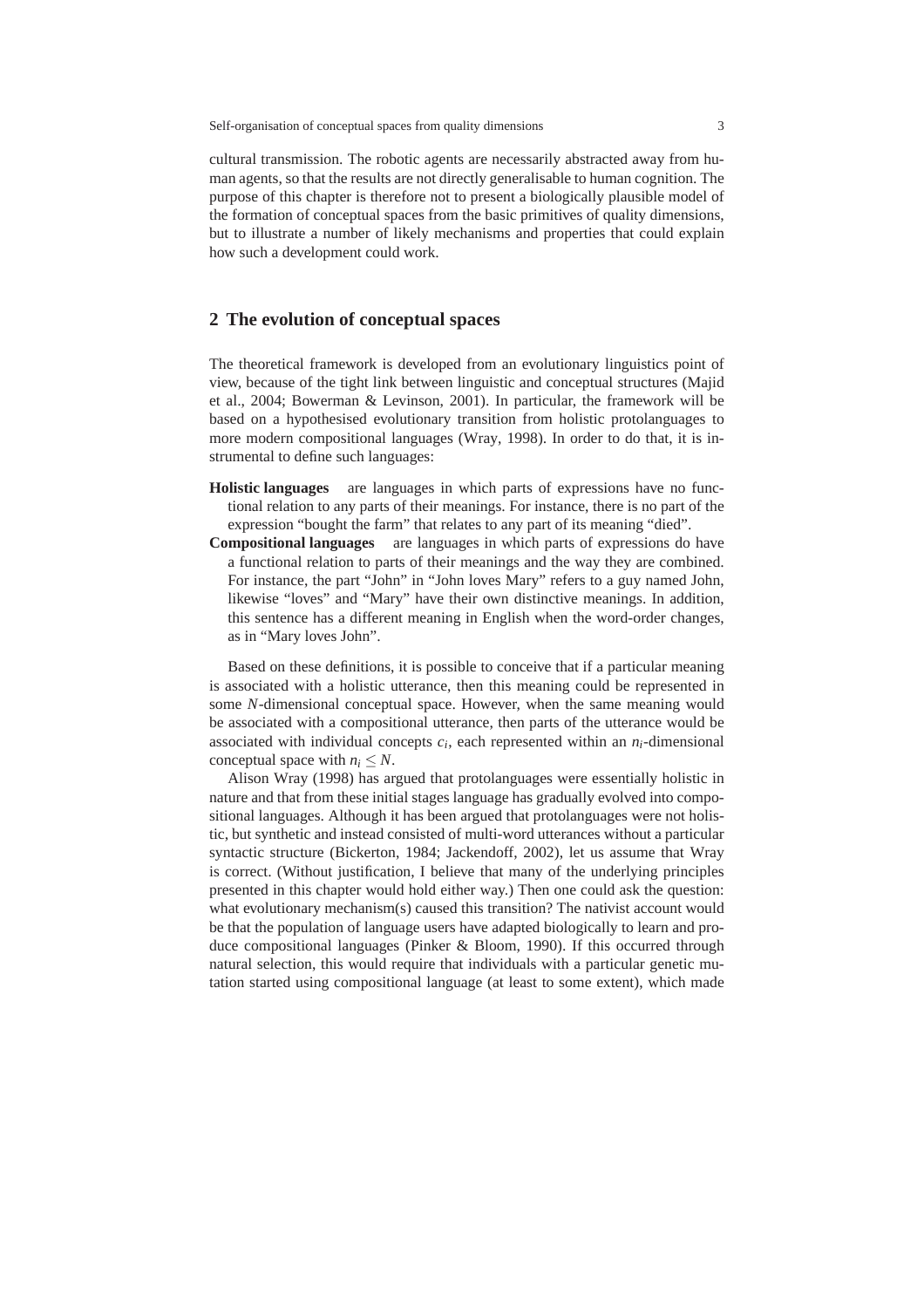cultural transmission. The robotic agents are necessarily abstracted away from human agents, so that the results are not directly generalisable to human cognition. The purpose of this chapter is therefore not to present a biologically plausible model of the formation of conceptual spaces from the basic primitives of quality dimensions, but to illustrate a number of likely mechanisms and properties that could explain how such a development could work.

# **2 The evolution of conceptual spaces**

The theoretical framework is developed from an evolutionary linguistics point of view, because of the tight link between linguistic and conceptual structures (Majid et al., 2004; Bowerman & Levinson, 2001). In particular, the framework will be based on a hypothesised evolutionary transition from holistic protolanguages to more modern compositional languages (Wray, 1998). In order to do that, it is instrumental to define such languages:

- **Holistic languages** are languages in which parts of expressions have no functional relation to any parts of their meanings. For instance, there is no part of the expression "bought the farm" that relates to any part of its meaning "died".
- **Compositional languages** are languages in which parts of expressions do have a functional relation to parts of their meanings and the way they are combined. For instance, the part "John" in "John loves Mary" refers to a guy named John, likewise "loves" and "Mary" have their own distinctive meanings. In addition, this sentence has a different meaning in English when the word-order changes, as in "Mary loves John".

Based on these definitions, it is possible to conceive that if a particular meaning is associated with a holistic utterance, then this meaning could be represented in some *N*-dimensional conceptual space. However, when the same meaning would be associated with a compositional utterance, then parts of the utterance would be associated with individual concepts  $c_i$ , each represented within an  $n_i$ -dimensional conceptual space with  $n_i \leq N$ .

Alison Wray (1998) has argued that protolanguages were essentially holistic in nature and that from these initial stages language has gradually evolved into compositional languages. Although it has been argued that protolanguages were not holistic, but synthetic and instead consisted of multi-word utterances without a particular syntactic structure (Bickerton, 1984; Jackendoff, 2002), let us assume that Wray is correct. (Without justification, I believe that many of the underlying principles presented in this chapter would hold either way.) Then one could ask the question: what evolutionary mechanism(s) caused this transition? The nativist account would be that the population of language users have adapted biologically to learn and produce compositional languages (Pinker & Bloom, 1990). If this occurred through natural selection, this would require that individuals with a particular genetic mutation started using compositional language (at least to some extent), which made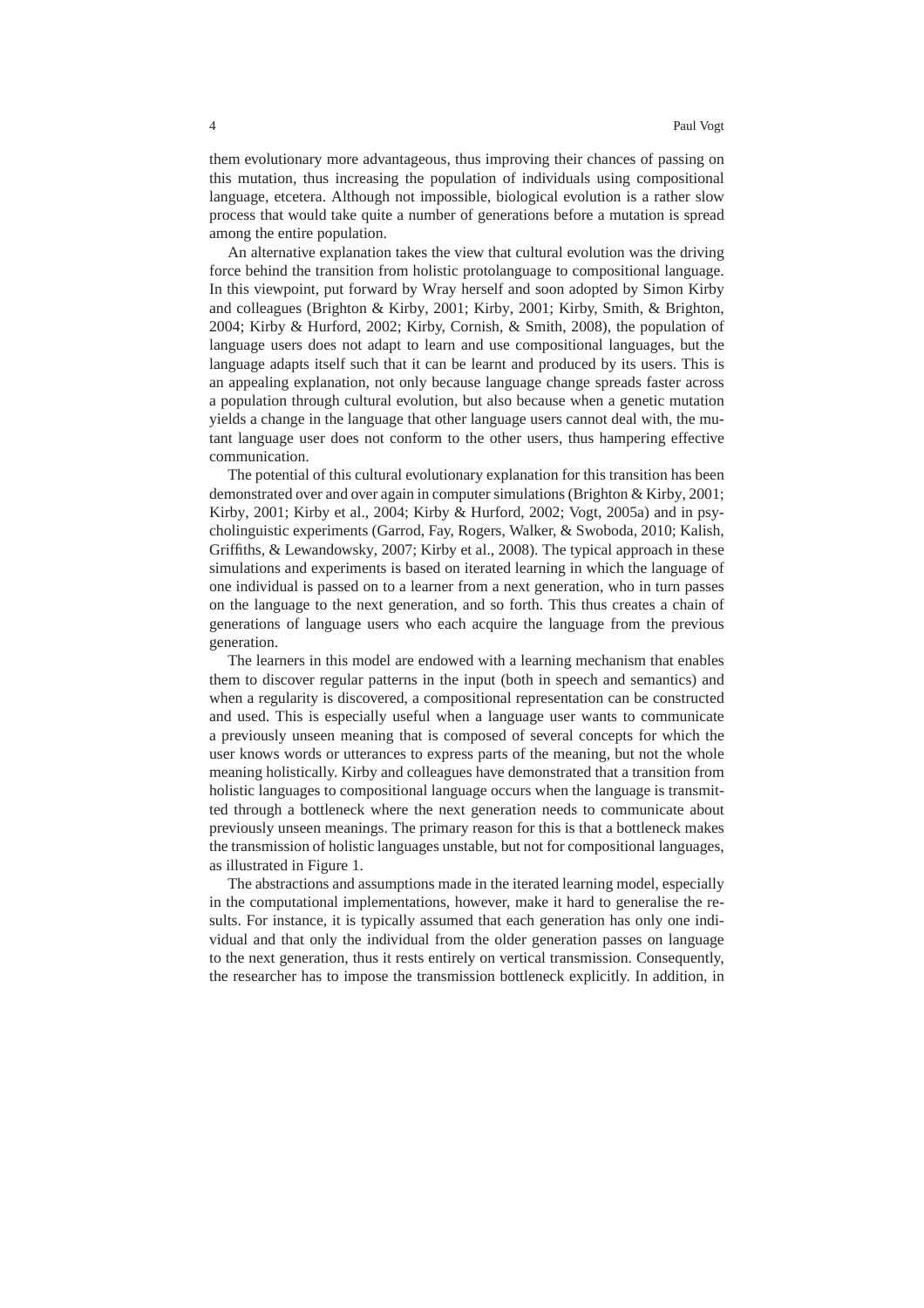them evolutionary more advantageous, thus improving their chances of passing on this mutation, thus increasing the population of individuals using compositional language, etcetera. Although not impossible, biological evolution is a rather slow process that would take quite a number of generations before a mutation is spread among the entire population.

An alternative explanation takes the view that cultural evolution was the driving force behind the transition from holistic protolanguage to compositional language. In this viewpoint, put forward by Wray herself and soon adopted by Simon Kirby and colleagues (Brighton & Kirby, 2001; Kirby, 2001; Kirby, Smith, & Brighton, 2004; Kirby & Hurford, 2002; Kirby, Cornish, & Smith, 2008), the population of language users does not adapt to learn and use compositional languages, but the language adapts itself such that it can be learnt and produced by its users. This is an appealing explanation, not only because language change spreads faster across a population through cultural evolution, but also because when a genetic mutation yields a change in the language that other language users cannot deal with, the mutant language user does not conform to the other users, thus hampering effective communication.

The potential of this cultural evolutionary explanation for this transition has been demonstrated over and over again in computer simulations (Brighton & Kirby, 2001; Kirby, 2001; Kirby et al., 2004; Kirby & Hurford, 2002; Vogt, 2005a) and in psycholinguistic experiments (Garrod, Fay, Rogers, Walker, & Swoboda, 2010; Kalish, Griffiths, & Lewandowsky, 2007; Kirby et al., 2008). The typical approach in these simulations and experiments is based on iterated learning in which the language of one individual is passed on to a learner from a next generation, who in turn passes on the language to the next generation, and so forth. This thus creates a chain of generations of language users who each acquire the language from the previous generation.

The learners in this model are endowed with a learning mechanism that enables them to discover regular patterns in the input (both in speech and semantics) and when a regularity is discovered, a compositional representation can be constructed and used. This is especially useful when a language user wants to communicate a previously unseen meaning that is composed of several concepts for which the user knows words or utterances to express parts of the meaning, but not the whole meaning holistically. Kirby and colleagues have demonstrated that a transition from holistic languages to compositional language occurs when the language is transmitted through a bottleneck where the next generation needs to communicate about previously unseen meanings. The primary reason for this is that a bottleneck makes the transmission of holistic languages unstable, but not for compositional languages, as illustrated in Figure 1.

The abstractions and assumptions made in the iterated learning model, especially in the computational implementations, however, make it hard to generalise the results. For instance, it is typically assumed that each generation has only one individual and that only the individual from the older generation passes on language to the next generation, thus it rests entirely on vertical transmission. Consequently, the researcher has to impose the transmission bottleneck explicitly. In addition, in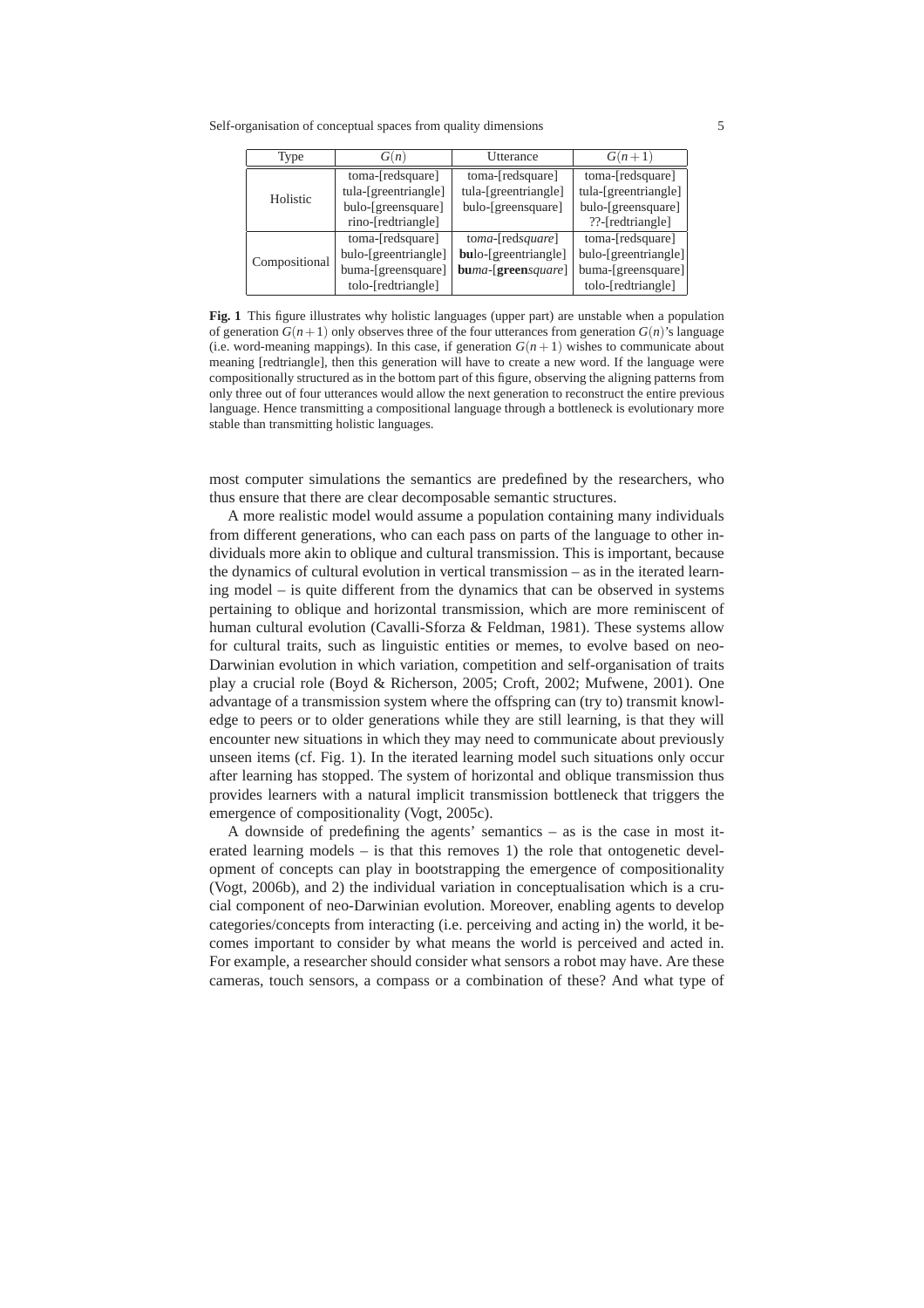Self-organisation of conceptual spaces from quality dimensions 5

| Type          | G(n)                 | Utterance              | $G(n+1)$             |
|---------------|----------------------|------------------------|----------------------|
|               | toma-[redsquare]     | toma-[redsquare]       | toma-[redsquare]     |
| Holistic      | tula-[greentriangle] | tula-[greentriangle]   | tula-[greentriangle] |
|               | bulo-[greensquare]   | bulo-[greensquare]     | bulo-[greensquare]   |
|               | rino-[redtriangle]   |                        | ??-[redtriangle]     |
|               | toma-[redsquare]     | toma-[redsquare]       | toma-[redsquare]     |
| Compositional | bulo-[greentriangle] | bulo-[greentriangle]   | bulo-[greentriangle] |
|               | buma-[greensquare]   | $burna$ -[greensquare] | buma-[greensquare]   |
|               | tolo-[redtriangle]   |                        | tolo-[redtriangle]   |

**Fig. 1** This figure illustrates why holistic languages (upper part) are unstable when a population of generation  $G(n+1)$  only observes three of the four utterances from generation  $G(n)$ 's language (i.e. word-meaning mappings). In this case, if generation  $G(n + 1)$  wishes to communicate about meaning [redtriangle], then this generation will have to create a new word. If the language were compositionally structured as in the bottom part of this figure, observing the aligning patterns from only three out of four utterances would allow the next generation to reconstruct the entire previous language. Hence transmitting a compositional language through a bottleneck is evolutionary more stable than transmitting holistic languages.

most computer simulations the semantics are predefined by the researchers, who thus ensure that there are clear decomposable semantic structures.

A more realistic model would assume a population containing many individuals from different generations, who can each pass on parts of the language to other individuals more akin to oblique and cultural transmission. This is important, because the dynamics of cultural evolution in vertical transmission – as in the iterated learning model – is quite different from the dynamics that can be observed in systems pertaining to oblique and horizontal transmission, which are more reminiscent of human cultural evolution (Cavalli-Sforza & Feldman, 1981). These systems allow for cultural traits, such as linguistic entities or memes, to evolve based on neo-Darwinian evolution in which variation, competition and self-organisation of traits play a crucial role (Boyd & Richerson, 2005; Croft, 2002; Mufwene, 2001). One advantage of a transmission system where the offspring can (try to) transmit knowledge to peers or to older generations while they are still learning, is that they will encounter new situations in which they may need to communicate about previously unseen items (cf. Fig. 1). In the iterated learning model such situations only occur after learning has stopped. The system of horizontal and oblique transmission thus provides learners with a natural implicit transmission bottleneck that triggers the emergence of compositionality (Vogt, 2005c).

A downside of predefining the agents' semantics – as is the case in most iterated learning models – is that this removes 1) the role that ontogenetic development of concepts can play in bootstrapping the emergence of compositionality (Vogt, 2006b), and 2) the individual variation in conceptualisation which is a crucial component of neo-Darwinian evolution. Moreover, enabling agents to develop categories/concepts from interacting (i.e. perceiving and acting in) the world, it becomes important to consider by what means the world is perceived and acted in. For example, a researcher should consider what sensors a robot may have. Are these cameras, touch sensors, a compass or a combination of these? And what type of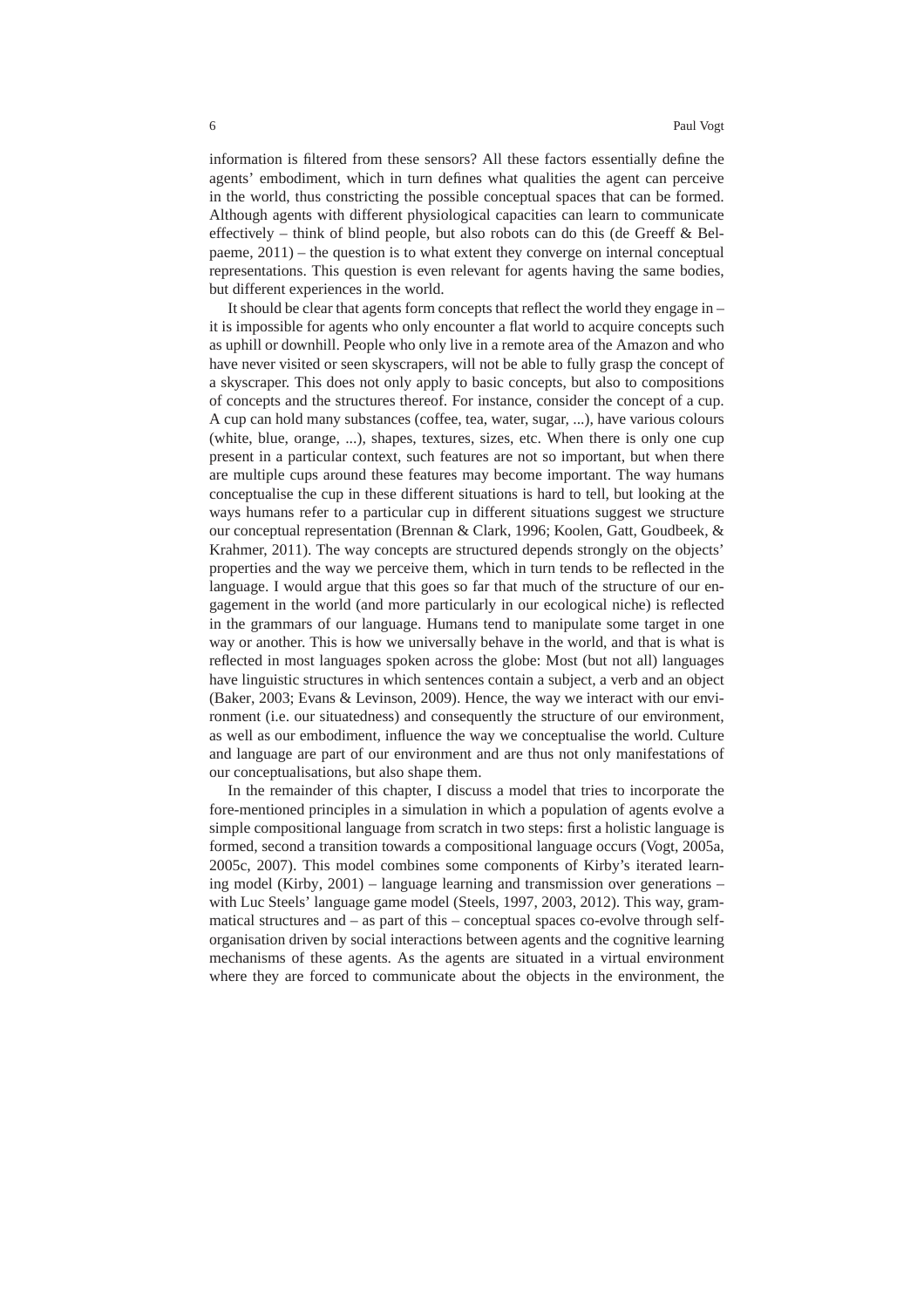information is filtered from these sensors? All these factors essentially define the agents' embodiment, which in turn defines what qualities the agent can perceive in the world, thus constricting the possible conceptual spaces that can be formed. Although agents with different physiological capacities can learn to communicate effectively – think of blind people, but also robots can do this (de Greeff  $\&$  Belpaeme, 2011) – the question is to what extent they converge on internal conceptual representations. This question is even relevant for agents having the same bodies, but different experiences in the world.

It should be clear that agents form concepts that reflect the world they engage in – it is impossible for agents who only encounter a flat world to acquire concepts such as uphill or downhill. People who only live in a remote area of the Amazon and who have never visited or seen skyscrapers, will not be able to fully grasp the concept of a skyscraper. This does not only apply to basic concepts, but also to compositions of concepts and the structures thereof. For instance, consider the concept of a cup. A cup can hold many substances (coffee, tea, water, sugar, ...), have various colours (white, blue, orange, ...), shapes, textures, sizes, etc. When there is only one cup present in a particular context, such features are not so important, but when there are multiple cups around these features may become important. The way humans conceptualise the cup in these different situations is hard to tell, but looking at the ways humans refer to a particular cup in different situations suggest we structure our conceptual representation (Brennan & Clark, 1996; Koolen, Gatt, Goudbeek, & Krahmer, 2011). The way concepts are structured depends strongly on the objects' properties and the way we perceive them, which in turn tends to be reflected in the language. I would argue that this goes so far that much of the structure of our engagement in the world (and more particularly in our ecological niche) is reflected in the grammars of our language. Humans tend to manipulate some target in one way or another. This is how we universally behave in the world, and that is what is reflected in most languages spoken across the globe: Most (but not all) languages have linguistic structures in which sentences contain a subject, a verb and an object (Baker, 2003; Evans & Levinson, 2009). Hence, the way we interact with our environment (i.e. our situatedness) and consequently the structure of our environment, as well as our embodiment, influence the way we conceptualise the world. Culture and language are part of our environment and are thus not only manifestations of our conceptualisations, but also shape them.

In the remainder of this chapter, I discuss a model that tries to incorporate the fore-mentioned principles in a simulation in which a population of agents evolve a simple compositional language from scratch in two steps: first a holistic language is formed, second a transition towards a compositional language occurs (Vogt, 2005a, 2005c, 2007). This model combines some components of Kirby's iterated learning model (Kirby, 2001) – language learning and transmission over generations – with Luc Steels' language game model (Steels, 1997, 2003, 2012). This way, grammatical structures and – as part of this – conceptual spaces co-evolve through selforganisation driven by social interactions between agents and the cognitive learning mechanisms of these agents. As the agents are situated in a virtual environment where they are forced to communicate about the objects in the environment, the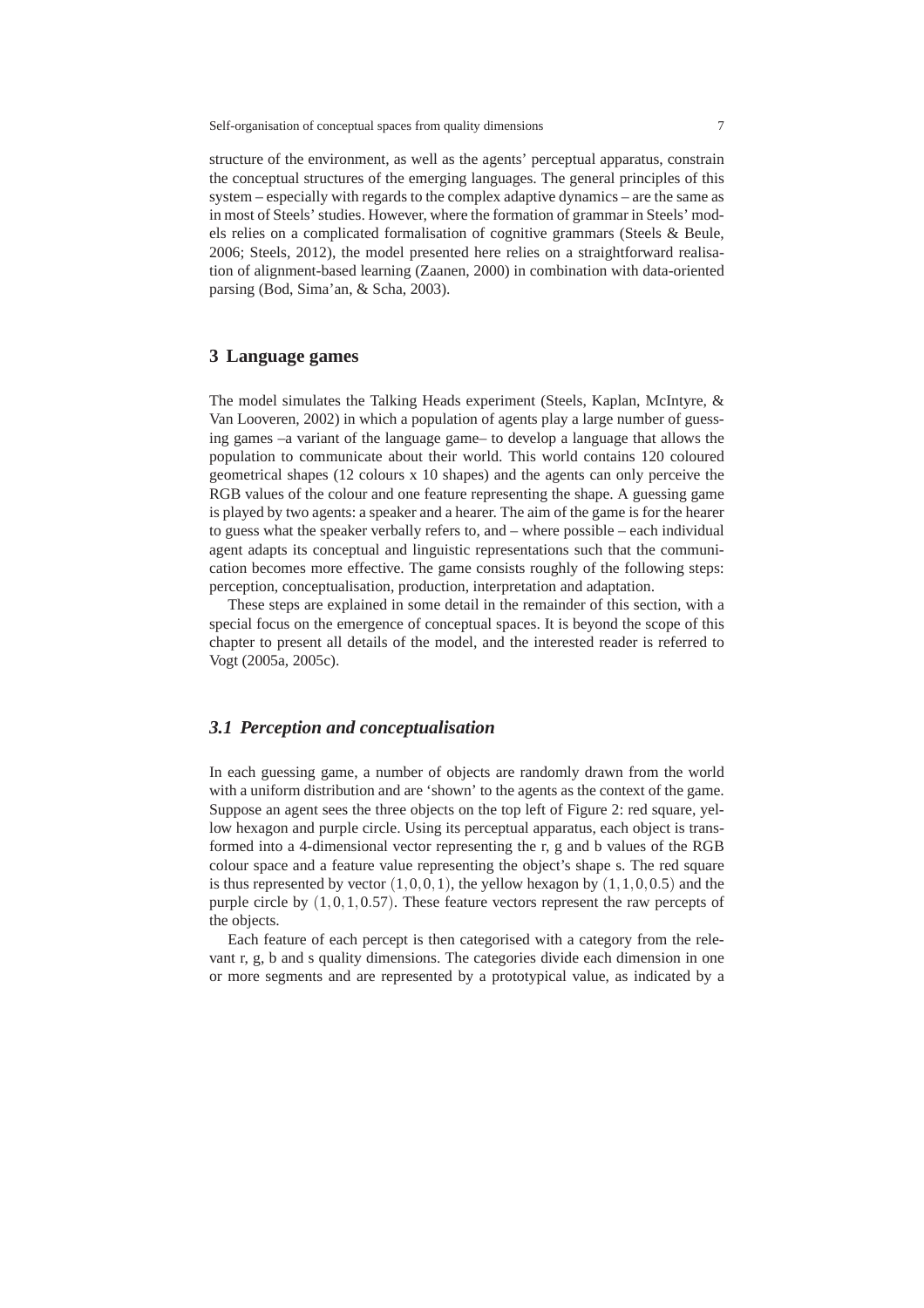structure of the environment, as well as the agents' perceptual apparatus, constrain the conceptual structures of the emerging languages. The general principles of this system – especially with regards to the complex adaptive dynamics – are the same as in most of Steels' studies. However, where the formation of grammar in Steels' models relies on a complicated formalisation of cognitive grammars (Steels & Beule, 2006; Steels, 2012), the model presented here relies on a straightforward realisation of alignment-based learning (Zaanen, 2000) in combination with data-oriented parsing (Bod, Sima'an, & Scha, 2003).

# **3 Language games**

The model simulates the Talking Heads experiment (Steels, Kaplan, McIntyre, & Van Looveren, 2002) in which a population of agents play a large number of guessing games –a variant of the language game– to develop a language that allows the population to communicate about their world. This world contains 120 coloured geometrical shapes (12 colours x 10 shapes) and the agents can only perceive the RGB values of the colour and one feature representing the shape. A guessing game is played by two agents: a speaker and a hearer. The aim of the game is for the hearer to guess what the speaker verbally refers to, and – where possible – each individual agent adapts its conceptual and linguistic representations such that the communication becomes more effective. The game consists roughly of the following steps: perception, conceptualisation, production, interpretation and adaptation.

These steps are explained in some detail in the remainder of this section, with a special focus on the emergence of conceptual spaces. It is beyond the scope of this chapter to present all details of the model, and the interested reader is referred to Vogt (2005a, 2005c).

### *3.1 Perception and conceptualisation*

In each guessing game, a number of objects are randomly drawn from the world with a uniform distribution and are 'shown' to the agents as the context of the game. Suppose an agent sees the three objects on the top left of Figure 2: red square, yellow hexagon and purple circle. Using its perceptual apparatus, each object is transformed into a 4-dimensional vector representing the r, g and b values of the RGB colour space and a feature value representing the object's shape s. The red square is thus represented by vector  $(1,0,0,1)$ , the yellow hexagon by  $(1,1,0,0.5)$  and the purple circle by  $(1,0,1,0.57)$ . These feature vectors represent the raw percepts of the objects.

Each feature of each percept is then categorised with a category from the relevant r, g, b and s quality dimensions. The categories divide each dimension in one or more segments and are represented by a prototypical value, as indicated by a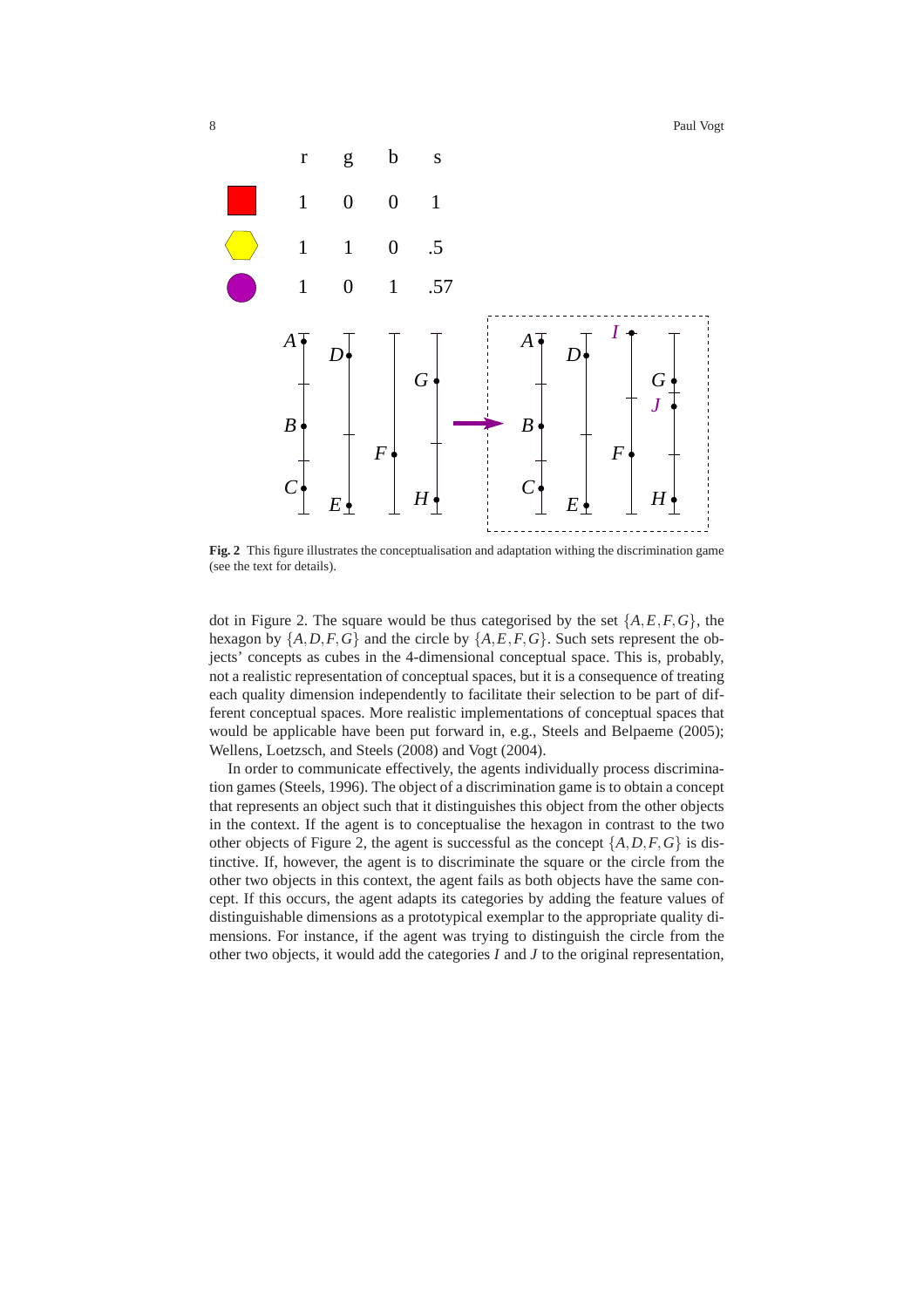

**Fig. 2** This figure illustrates the conceptualisation and adaptation withing the discrimination game (see the text for details).

dot in Figure 2. The square would be thus categorised by the set  $\{A, E, F, G\}$ , the hexagon by  $\{A, D, F, G\}$  and the circle by  $\{A, E, F, G\}$ . Such sets represent the objects' concepts as cubes in the 4-dimensional conceptual space. This is, probably, not a realistic representation of conceptual spaces, but it is a consequence of treating each quality dimension independently to facilitate their selection to be part of different conceptual spaces. More realistic implementations of conceptual spaces that would be applicable have been put forward in, e.g., Steels and Belpaeme (2005); Wellens, Loetzsch, and Steels (2008) and Vogt (2004).

In order to communicate effectively, the agents individually process discrimination games (Steels, 1996). The object of a discrimination game is to obtain a concept that represents an object such that it distinguishes this object from the other objects in the context. If the agent is to conceptualise the hexagon in contrast to the two other objects of Figure 2, the agent is successful as the concept  $\{A, D, F, G\}$  is distinctive. If, however, the agent is to discriminate the square or the circle from the other two objects in this context, the agent fails as both objects have the same concept. If this occurs, the agent adapts its categories by adding the feature values of distinguishable dimensions as a prototypical exemplar to the appropriate quality dimensions. For instance, if the agent was trying to distinguish the circle from the other two objects, it would add the categories *I* and *J* to the original representation,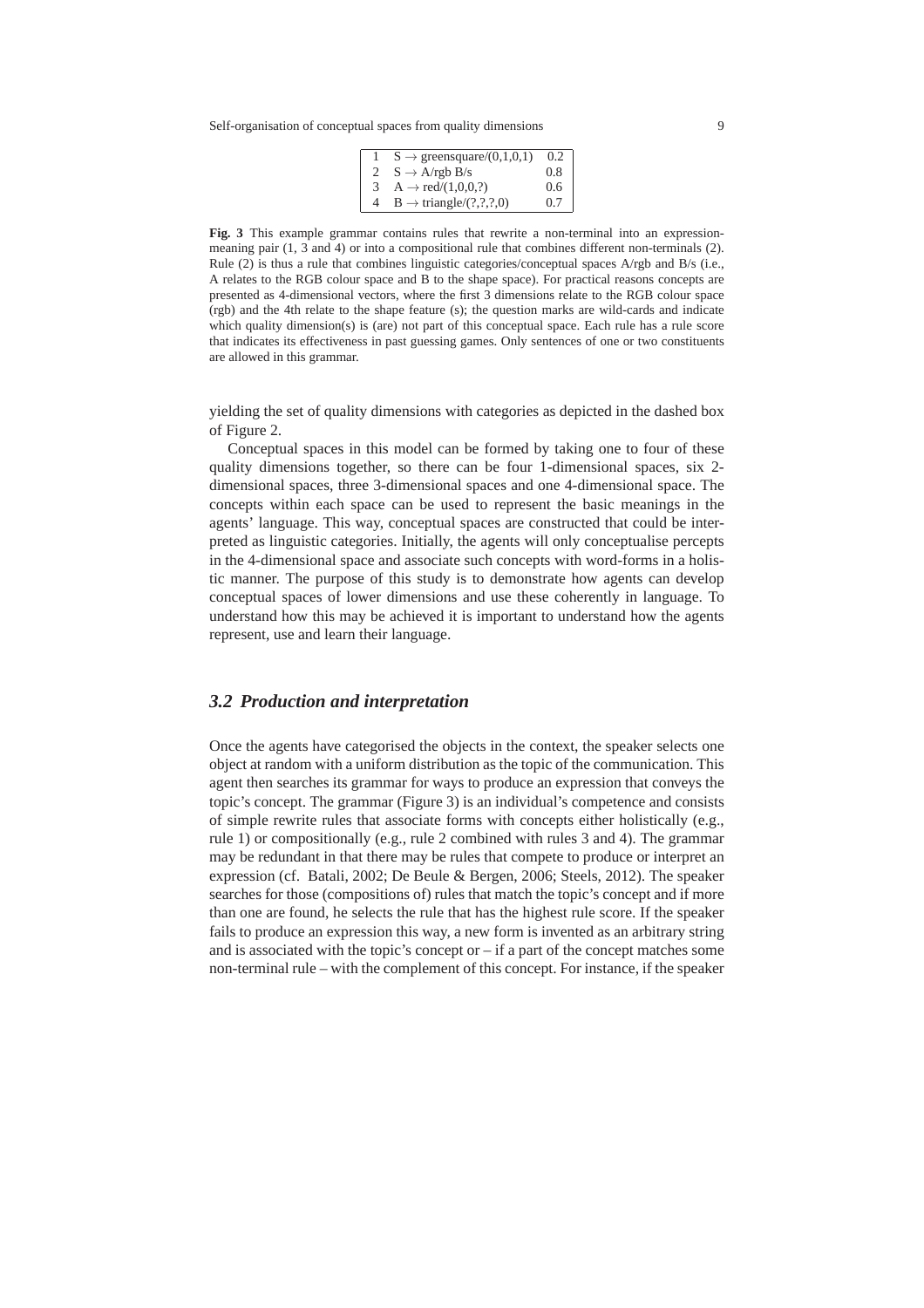|   | $S \rightarrow$ greensquare/(0,1,0,1) | 0.2 |
|---|---------------------------------------|-----|
|   | $S \rightarrow A$ /rgb B/s            | 0.8 |
| 3 | $A \rightarrow \text{red}/(1,0,0,?)$  | 0.6 |
| 4 | $B \rightarrow triangle/(?,?,?,0)$    | 0.7 |

**Fig. 3** This example grammar contains rules that rewrite a non-terminal into an expressionmeaning pair (1, 3 and 4) or into a compositional rule that combines different non-terminals (2). Rule (2) is thus a rule that combines linguistic categories/conceptual spaces A/rgb and B/s (i.e., A relates to the RGB colour space and  $\overline{B}$  to the shape space). For practical reasons concepts are presented as 4-dimensional vectors, where the first 3 dimensions relate to the RGB colour space (rgb) and the 4th relate to the shape feature (s); the question marks are wild-cards and indicate which quality dimension(s) is (are) not part of this conceptual space. Each rule has a rule score that indicates its effectiveness in past guessing games. Only sentences of one or two constituents are allowed in this grammar.

yielding the set of quality dimensions with categories as depicted in the dashed box of Figure 2.

Conceptual spaces in this model can be formed by taking one to four of these quality dimensions together, so there can be four 1-dimensional spaces, six 2 dimensional spaces, three 3-dimensional spaces and one 4-dimensional space. The concepts within each space can be used to represent the basic meanings in the agents' language. This way, conceptual spaces are constructed that could be interpreted as linguistic categories. Initially, the agents will only conceptualise percepts in the 4-dimensional space and associate such concepts with word-forms in a holistic manner. The purpose of this study is to demonstrate how agents can develop conceptual spaces of lower dimensions and use these coherently in language. To understand how this may be achieved it is important to understand how the agents represent, use and learn their language.

### *3.2 Production and interpretation*

Once the agents have categorised the objects in the context, the speaker selects one object at random with a uniform distribution as the topic of the communication. This agent then searches its grammar for ways to produce an expression that conveys the topic's concept. The grammar (Figure 3) is an individual's competence and consists of simple rewrite rules that associate forms with concepts either holistically (e.g., rule 1) or compositionally (e.g., rule 2 combined with rules 3 and 4). The grammar may be redundant in that there may be rules that compete to produce or interpret an expression (cf. Batali, 2002; De Beule & Bergen, 2006; Steels, 2012). The speaker searches for those (compositions of) rules that match the topic's concept and if more than one are found, he selects the rule that has the highest rule score. If the speaker fails to produce an expression this way, a new form is invented as an arbitrary string and is associated with the topic's concept or  $-$  if a part of the concept matches some non-terminal rule – with the complement of this concept. For instance, if the speaker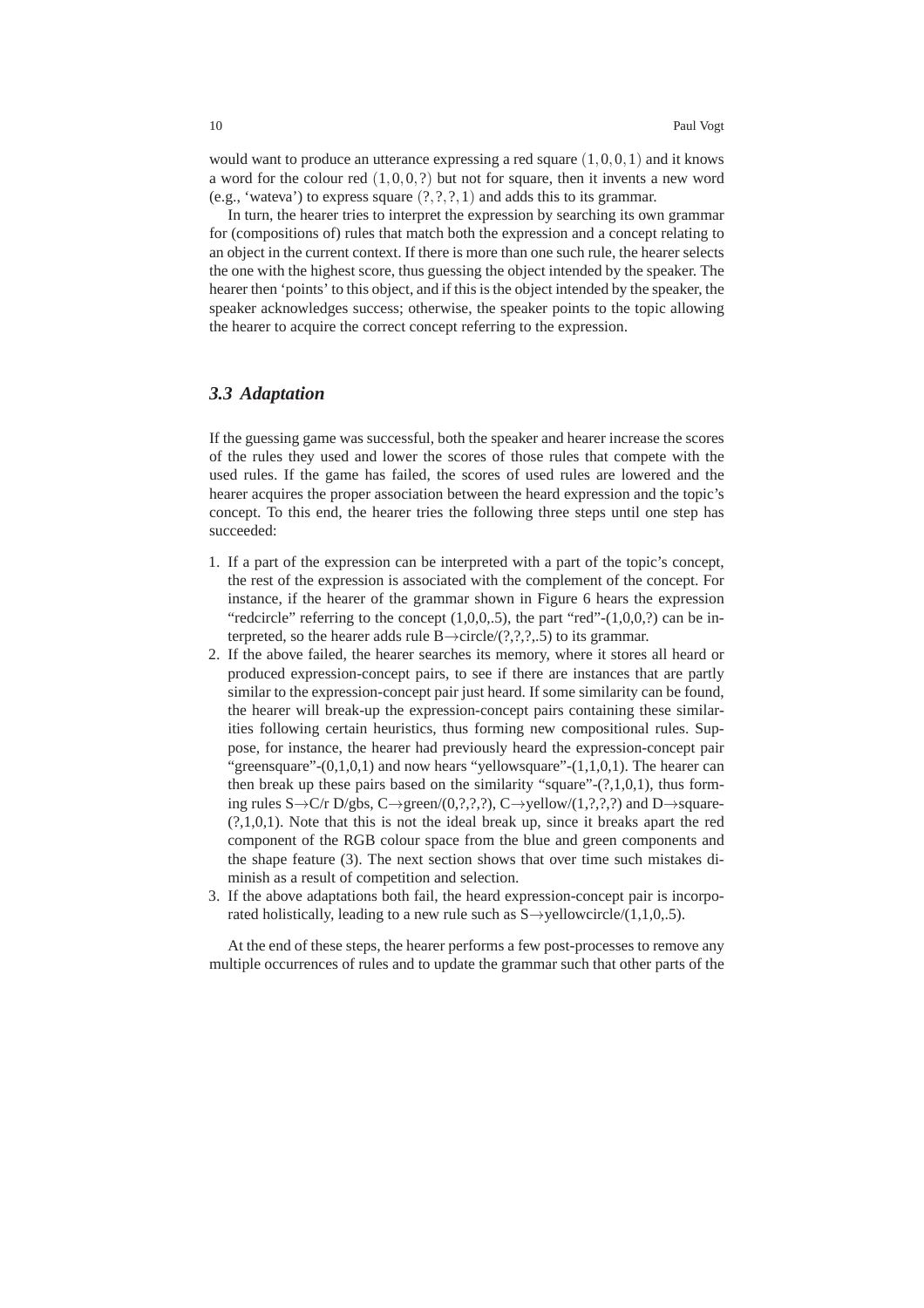would want to produce an utterance expressing a red square  $(1,0,0,1)$  and it knows a word for the colour red  $(1,0,0,?)$  but not for square, then it invents a new word (e.g., 'wateva') to express square  $(?,?,?,1)$  and adds this to its grammar.

In turn, the hearer tries to interpret the expression by searching its own grammar for (compositions of) rules that match both the expression and a concept relating to an object in the current context. If there is more than one such rule, the hearer selects the one with the highest score, thus guessing the object intended by the speaker. The hearer then 'points' to this object, and if this is the object intended by the speaker, the speaker acknowledges success; otherwise, the speaker points to the topic allowing the hearer to acquire the correct concept referring to the expression.

#### *3.3 Adaptation*

If the guessing game was successful, both the speaker and hearer increase the scores of the rules they used and lower the scores of those rules that compete with the used rules. If the game has failed, the scores of used rules are lowered and the hearer acquires the proper association between the heard expression and the topic's concept. To this end, the hearer tries the following three steps until one step has succeeded:

- 1. If a part of the expression can be interpreted with a part of the topic's concept, the rest of the expression is associated with the complement of the concept. For instance, if the hearer of the grammar shown in Figure 6 hears the expression "redcircle" referring to the concept  $(1,0,0,5)$ , the part "red"- $(1,0,0,?)$  can be interpreted, so the hearer adds rule  $B\rightarrow$ circle/(?,?,?,.5) to its grammar.
- 2. If the above failed, the hearer searches its memory, where it stores all heard or produced expression-concept pairs, to see if there are instances that are partly similar to the expression-concept pair just heard. If some similarity can be found, the hearer will break-up the expression-concept pairs containing these similarities following certain heuristics, thus forming new compositional rules. Suppose, for instance, the hearer had previously heard the expression-concept pair "greensquare" $-(0,1,0,1)$  and now hears "yellowsquare" $-(1,1,0,1)$ . The hearer can then break up these pairs based on the similarity "square" $-(?,1,0,1)$ , thus forming rules S→C/r D/gbs, C→green/(0,?,?,?), C→yellow/(1,?,?,?) and D→square- (?,1,0,1). Note that this is not the ideal break up, since it breaks apart the red component of the RGB colour space from the blue and green components and the shape feature (3). The next section shows that over time such mistakes diminish as a result of competition and selection.
- 3. If the above adaptations both fail, the heard expression-concept pair is incorporated holistically, leading to a new rule such as  $S\rightarrow$ yellowcircle/(1,1,0,.5).

At the end of these steps, the hearer performs a few post-processes to remove any multiple occurrences of rules and to update the grammar such that other parts of the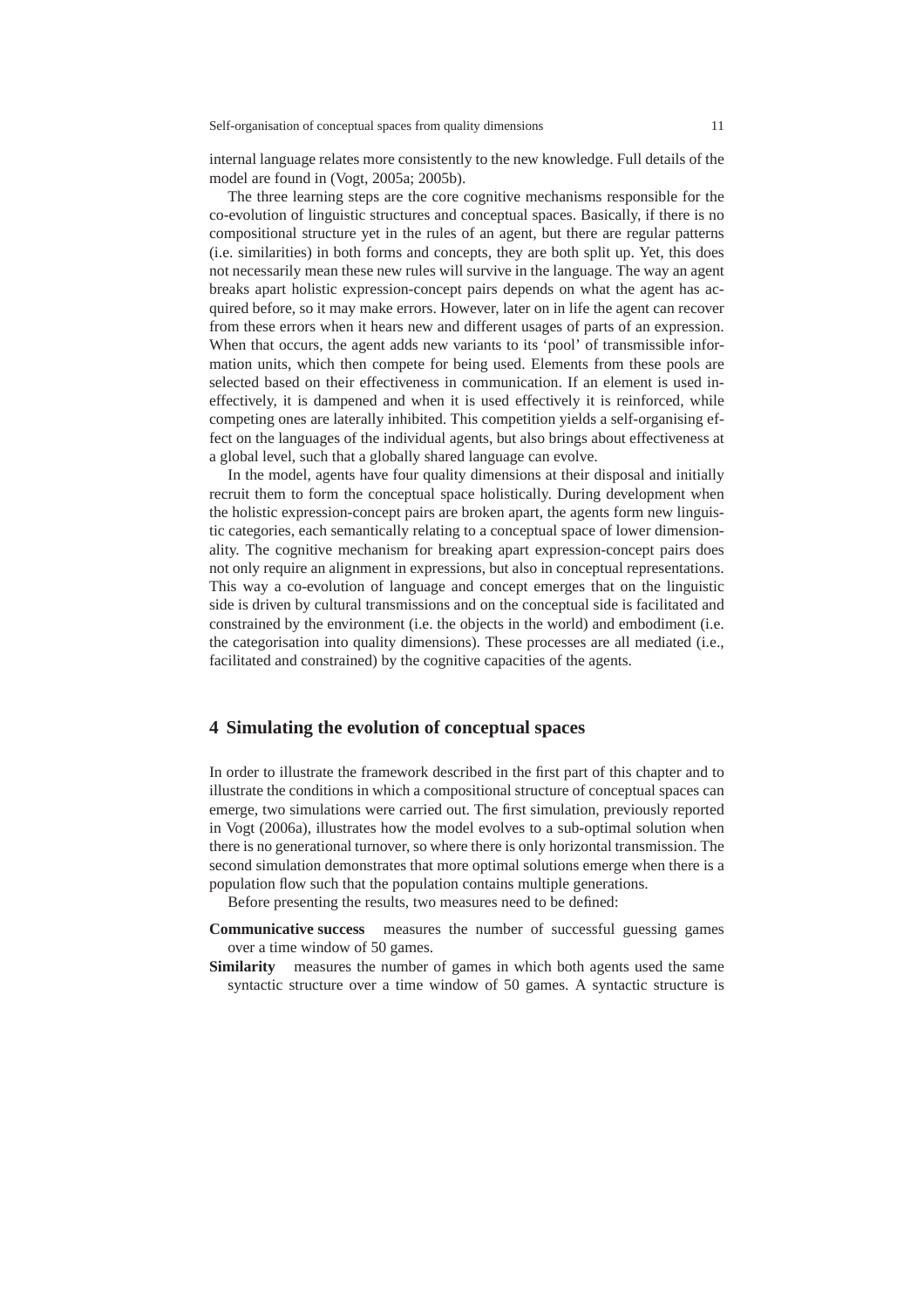internal language relates more consistently to the new knowledge. Full details of the model are found in (Vogt, 2005a; 2005b).

The three learning steps are the core cognitive mechanisms responsible for the co-evolution of linguistic structures and conceptual spaces. Basically, if there is no compositional structure yet in the rules of an agent, but there are regular patterns (i.e. similarities) in both forms and concepts, they are both split up. Yet, this does not necessarily mean these new rules will survive in the language. The way an agent breaks apart holistic expression-concept pairs depends on what the agent has acquired before, so it may make errors. However, later on in life the agent can recover from these errors when it hears new and different usages of parts of an expression. When that occurs, the agent adds new variants to its 'pool' of transmissible information units, which then compete for being used. Elements from these pools are selected based on their effectiveness in communication. If an element is used ineffectively, it is dampened and when it is used effectively it is reinforced, while competing ones are laterally inhibited. This competition yields a self-organising effect on the languages of the individual agents, but also brings about effectiveness at a global level, such that a globally shared language can evolve.

In the model, agents have four quality dimensions at their disposal and initially recruit them to form the conceptual space holistically. During development when the holistic expression-concept pairs are broken apart, the agents form new linguistic categories, each semantically relating to a conceptual space of lower dimensionality. The cognitive mechanism for breaking apart expression-concept pairs does not only require an alignment in expressions, but also in conceptual representations. This way a co-evolution of language and concept emerges that on the linguistic side is driven by cultural transmissions and on the conceptual side is facilitated and constrained by the environment (i.e. the objects in the world) and embodiment (i.e. the categorisation into quality dimensions). These processes are all mediated (i.e., facilitated and constrained) by the cognitive capacities of the agents.

### **4 Simulating the evolution of conceptual spaces**

In order to illustrate the framework described in the first part of this chapter and to illustrate the conditions in which a compositional structure of conceptual spaces can emerge, two simulations were carried out. The first simulation, previously reported in Vogt (2006a), illustrates how the model evolves to a sub-optimal solution when there is no generational turnover, so where there is only horizontal transmission. The second simulation demonstrates that more optimal solutions emerge when there is a population flow such that the population contains multiple generations.

Before presenting the results, two measures need to be defined:

- **Communicative success** measures the number of successful guessing games over a time window of 50 games.
- **Similarity** measures the number of games in which both agents used the same syntactic structure over a time window of 50 games. A syntactic structure is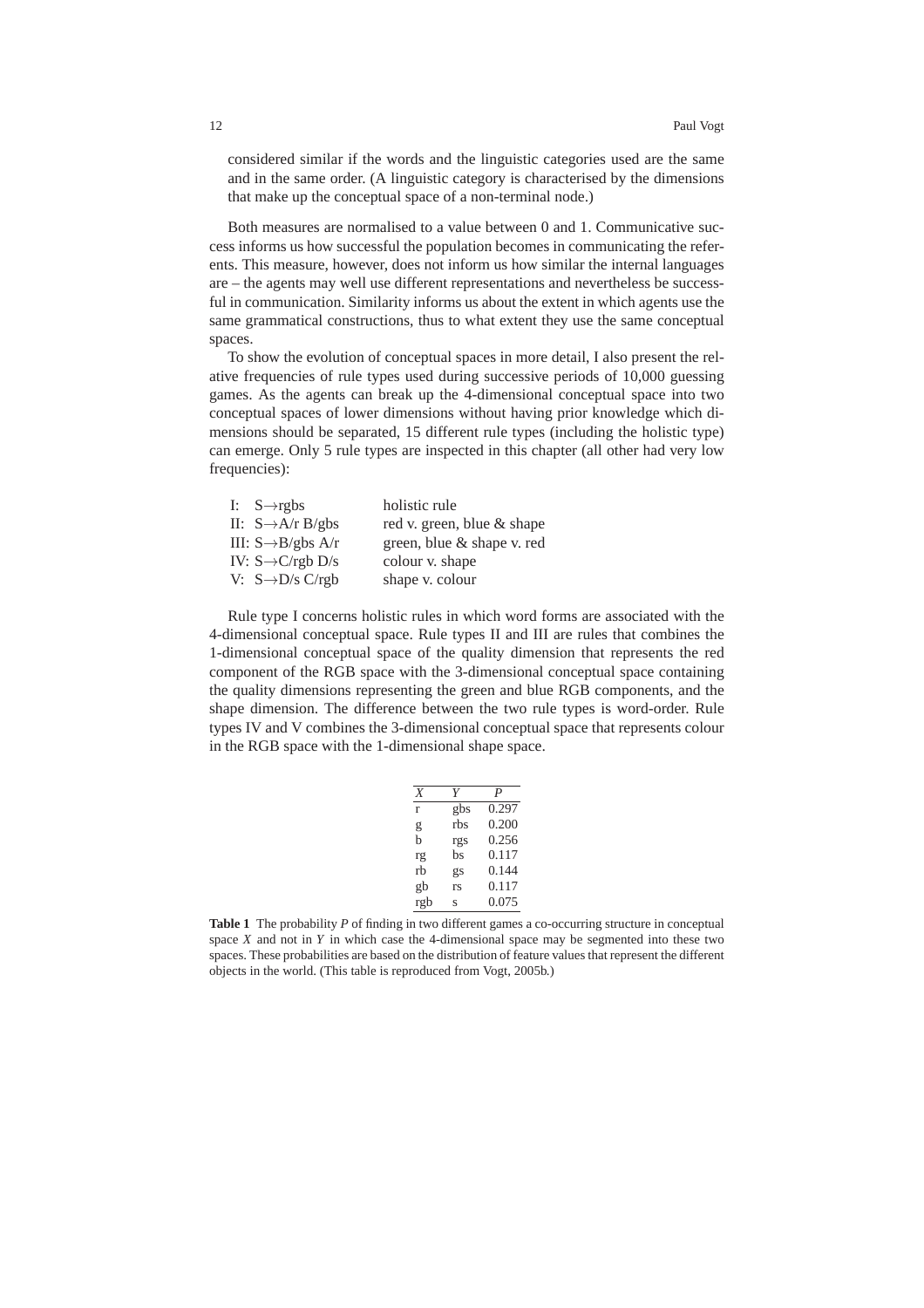considered similar if the words and the linguistic categories used are the same and in the same order. (A linguistic category is characterised by the dimensions that make up the conceptual space of a non-terminal node.)

Both measures are normalised to a value between 0 and 1. Communicative success informs us how successful the population becomes in communicating the referents. This measure, however, does not inform us how similar the internal languages are – the agents may well use different representations and nevertheless be successful in communication. Similarity informs us about the extent in which agents use the same grammatical constructions, thus to what extent they use the same conceptual spaces.

To show the evolution of conceptual spaces in more detail, I also present the relative frequencies of rule types used during successive periods of 10,000 guessing games. As the agents can break up the 4-dimensional conceptual space into two conceptual spaces of lower dimensions without having prior knowledge which dimensions should be separated, 15 different rule types (including the holistic type) can emerge. Only 5 rule types are inspected in this chapter (all other had very low frequencies):

| I: $S \rightarrow rgbs$ |                                | holistic rule              |
|-------------------------|--------------------------------|----------------------------|
|                         | II: $S \rightarrow A/r B/gbs$  | red v. green, blue & shape |
|                         | III: $S \rightarrow B/gbs$ A/r | green, blue & shape v. red |
|                         | IV: $S \rightarrow C$ /rgb D/s | colour v. shape            |
|                         | V: $S \rightarrow D/s$ C/rgb   | shape v. colour            |

Rule type I concerns holistic rules in which word forms are associated with the 4-dimensional conceptual space. Rule types II and III are rules that combines the 1-dimensional conceptual space of the quality dimension that represents the red component of the RGB space with the 3-dimensional conceptual space containing the quality dimensions representing the green and blue RGB components, and the shape dimension. The difference between the two rule types is word-order. Rule types IV and V combines the 3-dimensional conceptual space that represents colour in the RGB space with the 1-dimensional shape space.

| X   | Y   | P     |
|-----|-----|-------|
| r   | gbs | 0.297 |
| g   | rbs | 0.200 |
| h   | rgs | 0.256 |
| rg  | bs  | 0.117 |
| rb  | gs  | 0.144 |
| gb  | rs  | 0.117 |
| rgb | S   | 0.075 |

**Table 1** The probability *P* of finding in two different games a co-occurring structure in conceptual space *X* and not in *Y* in which case the 4-dimensional space may be segmented into these two spaces. These probabilities are based on the distribution of feature values that represent the different objects in the world. (This table is reproduced from Vogt, 2005b.)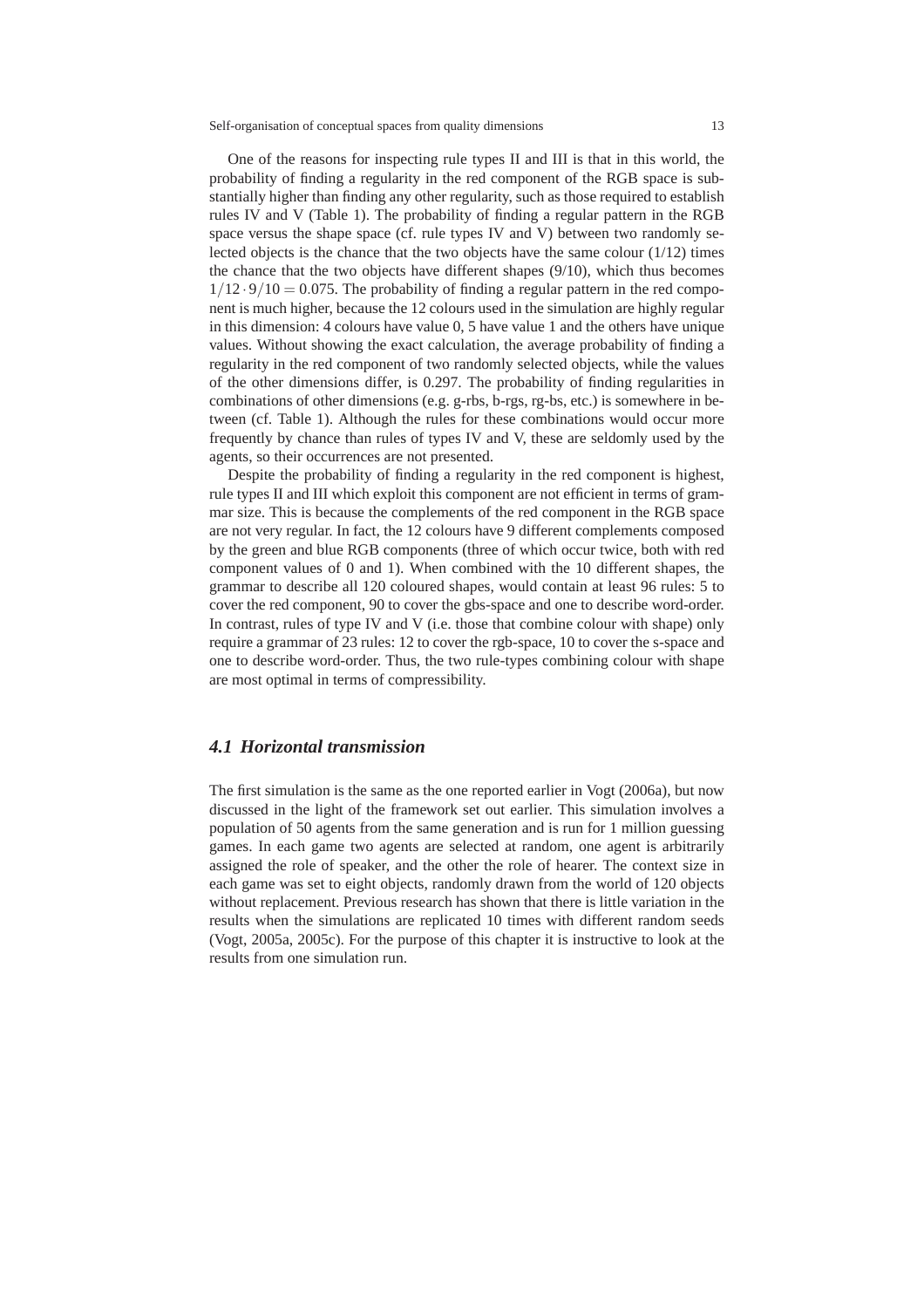One of the reasons for inspecting rule types II and III is that in this world, the probability of finding a regularity in the red component of the RGB space is substantially higher than finding any other regularity, such as those required to establish rules IV and V (Table 1). The probability of finding a regular pattern in the RGB space versus the shape space (cf. rule types IV and V) between two randomly selected objects is the chance that the two objects have the same colour (1/12) times the chance that the two objects have different shapes (9/10), which thus becomes  $1/12 \cdot 9/10 = 0.075$ . The probability of finding a regular pattern in the red component is much higher, because the 12 colours used in the simulation are highly regular in this dimension: 4 colours have value 0, 5 have value 1 and the others have unique values. Without showing the exact calculation, the average probability of finding a regularity in the red component of two randomly selected objects, while the values of the other dimensions differ, is 0.297. The probability of finding regularities in combinations of other dimensions (e.g. g-rbs, b-rgs, rg-bs, etc.) is somewhere in between (cf. Table 1). Although the rules for these combinations would occur more frequently by chance than rules of types IV and V, these are seldomly used by the agents, so their occurrences are not presented.

Despite the probability of finding a regularity in the red component is highest, rule types II and III which exploit this component are not efficient in terms of grammar size. This is because the complements of the red component in the RGB space are not very regular. In fact, the 12 colours have 9 different complements composed by the green and blue RGB components (three of which occur twice, both with red component values of 0 and 1). When combined with the 10 different shapes, the grammar to describe all 120 coloured shapes, would contain at least 96 rules: 5 to cover the red component, 90 to cover the gbs-space and one to describe word-order. In contrast, rules of type IV and V (i.e. those that combine colour with shape) only require a grammar of 23 rules: 12 to cover the rgb-space, 10 to cover the s-space and one to describe word-order. Thus, the two rule-types combining colour with shape are most optimal in terms of compressibility.

#### *4.1 Horizontal transmission*

The first simulation is the same as the one reported earlier in Vogt (2006a), but now discussed in the light of the framework set out earlier. This simulation involves a population of 50 agents from the same generation and is run for 1 million guessing games. In each game two agents are selected at random, one agent is arbitrarily assigned the role of speaker, and the other the role of hearer. The context size in each game was set to eight objects, randomly drawn from the world of 120 objects without replacement. Previous research has shown that there is little variation in the results when the simulations are replicated 10 times with different random seeds (Vogt, 2005a, 2005c). For the purpose of this chapter it is instructive to look at the results from one simulation run.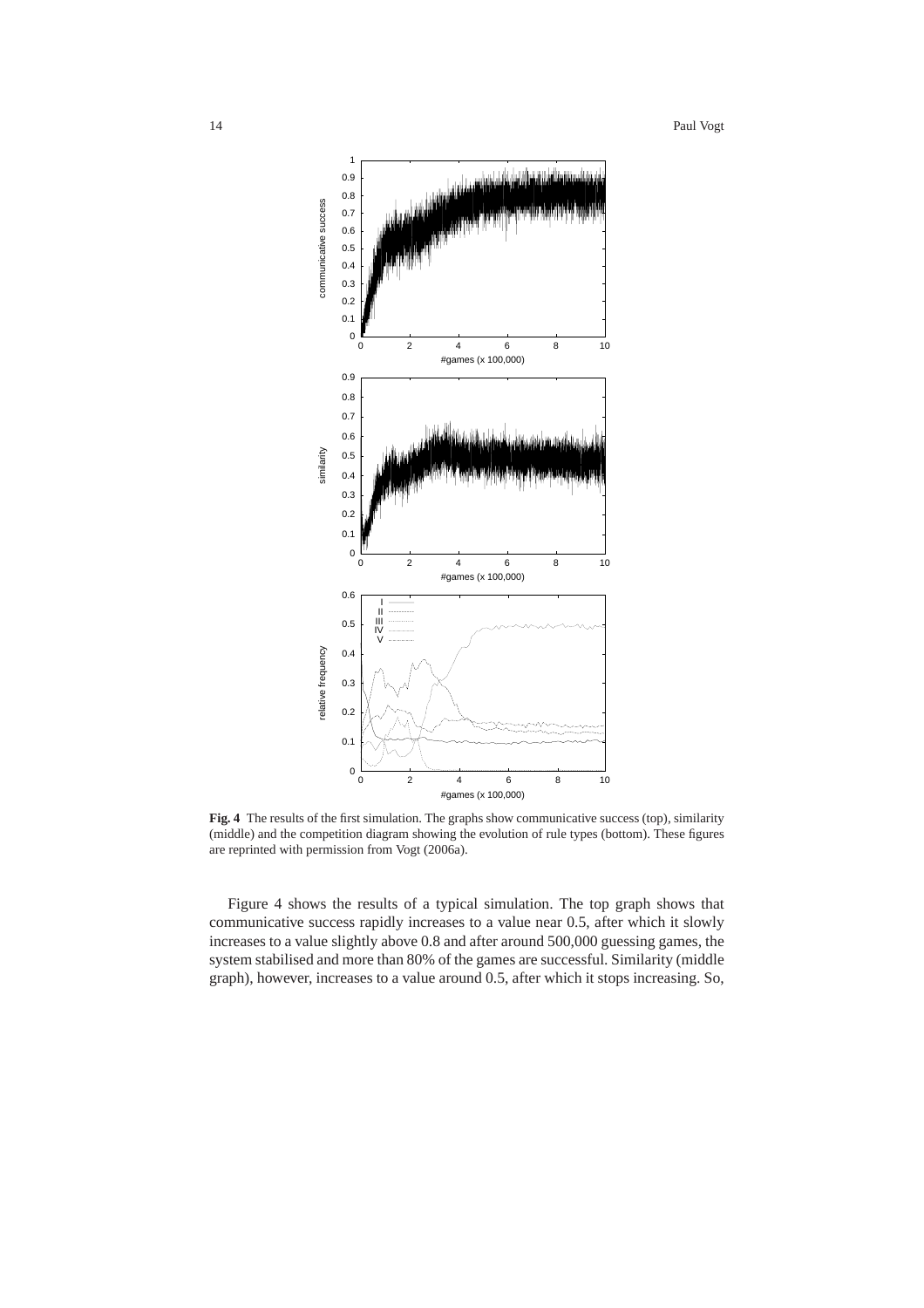

**Fig. 4** The results of the first simulation. The graphs show communicative success (top), similarity (middle) and the competition diagram showing the evolution of rule types (bottom). These figures are reprinted with permission from Vogt (2006a).

Figure 4 shows the results of a typical simulation. The top graph shows that communicative success rapidly increases to a value near 0.5, after which it slowly increases to a value slightly above 0.8 and after around 500,000 guessing games, the system stabilised and more than 80% of the games are successful. Similarity (middle graph), however, increases to a value around 0.5, after which it stops increasing. So,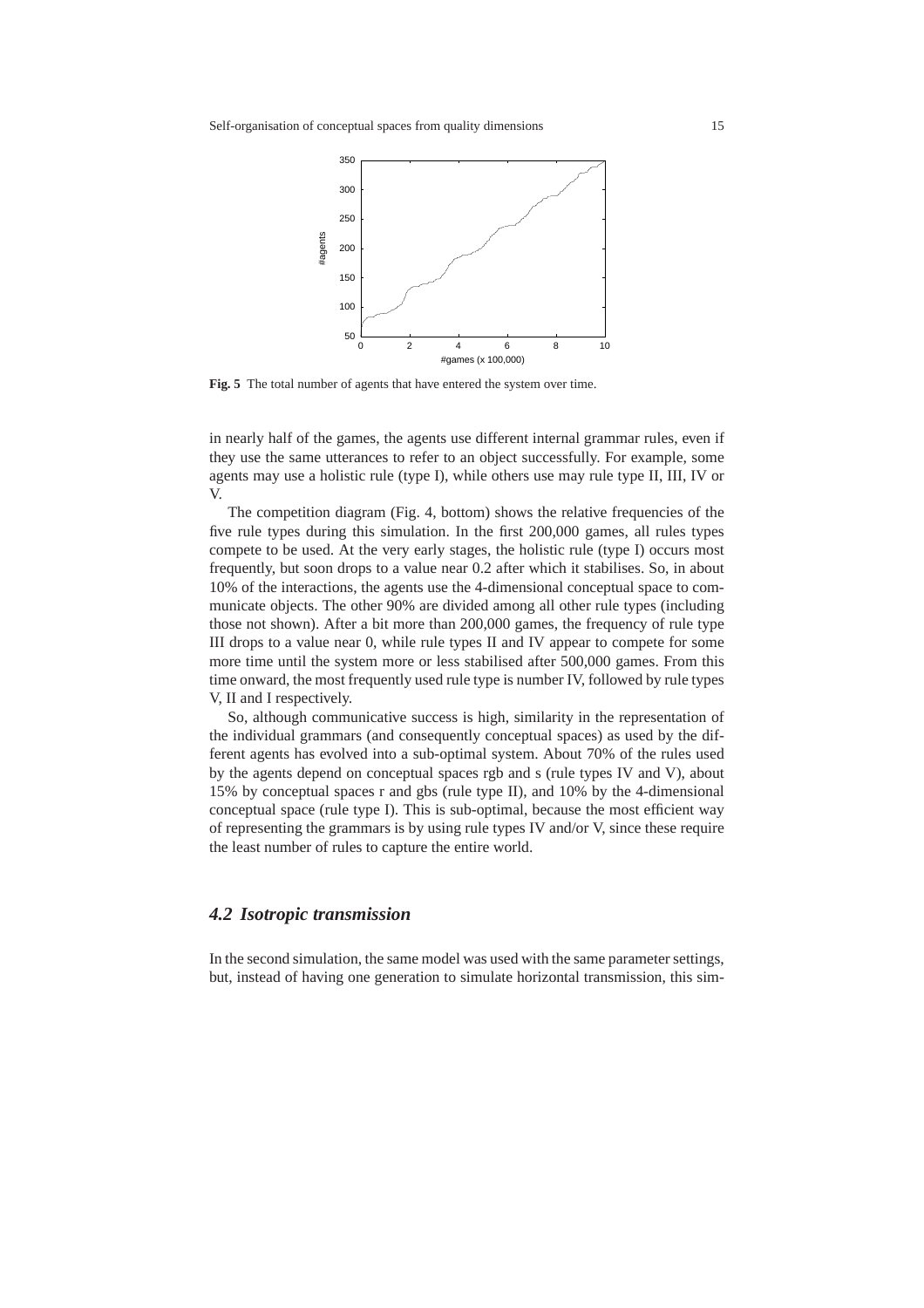

**Fig. 5** The total number of agents that have entered the system over time.

in nearly half of the games, the agents use different internal grammar rules, even if they use the same utterances to refer to an object successfully. For example, some agents may use a holistic rule (type I), while others use may rule type II, III, IV or V.

The competition diagram (Fig. 4, bottom) shows the relative frequencies of the five rule types during this simulation. In the first 200,000 games, all rules types compete to be used. At the very early stages, the holistic rule (type I) occurs most frequently, but soon drops to a value near 0.2 after which it stabilises. So, in about 10% of the interactions, the agents use the 4-dimensional conceptual space to communicate objects. The other 90% are divided among all other rule types (including those not shown). After a bit more than 200,000 games, the frequency of rule type III drops to a value near 0, while rule types II and IV appear to compete for some more time until the system more or less stabilised after 500,000 games. From this time onward, the most frequently used rule type is number IV, followed by rule types V, II and I respectively.

So, although communicative success is high, similarity in the representation of the individual grammars (and consequently conceptual spaces) as used by the different agents has evolved into a sub-optimal system. About 70% of the rules used by the agents depend on conceptual spaces rgb and s (rule types IV and V), about 15% by conceptual spaces r and gbs (rule type II), and 10% by the 4-dimensional conceptual space (rule type I). This is sub-optimal, because the most efficient way of representing the grammars is by using rule types IV and/or V, since these require the least number of rules to capture the entire world.

# *4.2 Isotropic transmission*

In the second simulation, the same model was used with the same parameter settings, but, instead of having one generation to simulate horizontal transmission, this sim-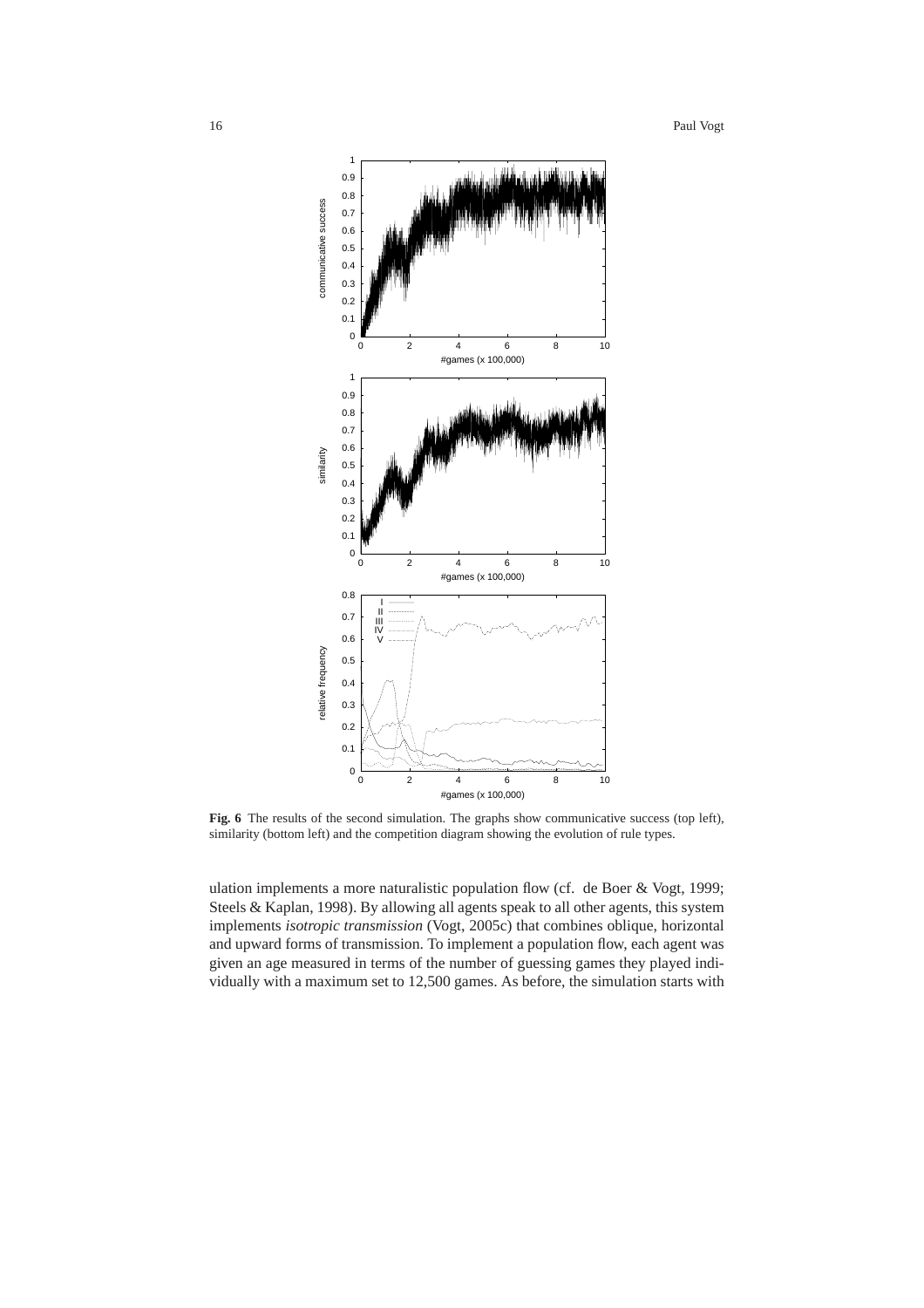

**Fig. 6** The results of the second simulation. The graphs show communicative success (top left), similarity (bottom left) and the competition diagram showing the evolution of rule types.

ulation implements a more naturalistic population flow (cf. de Boer & Vogt, 1999; Steels & Kaplan, 1998). By allowing all agents speak to all other agents, this system implements *isotropic transmission* (Vogt, 2005c) that combines oblique, horizontal and upward forms of transmission. To implement a population flow, each agent was given an age measured in terms of the number of guessing games they played individually with a maximum set to 12,500 games. As before, the simulation starts with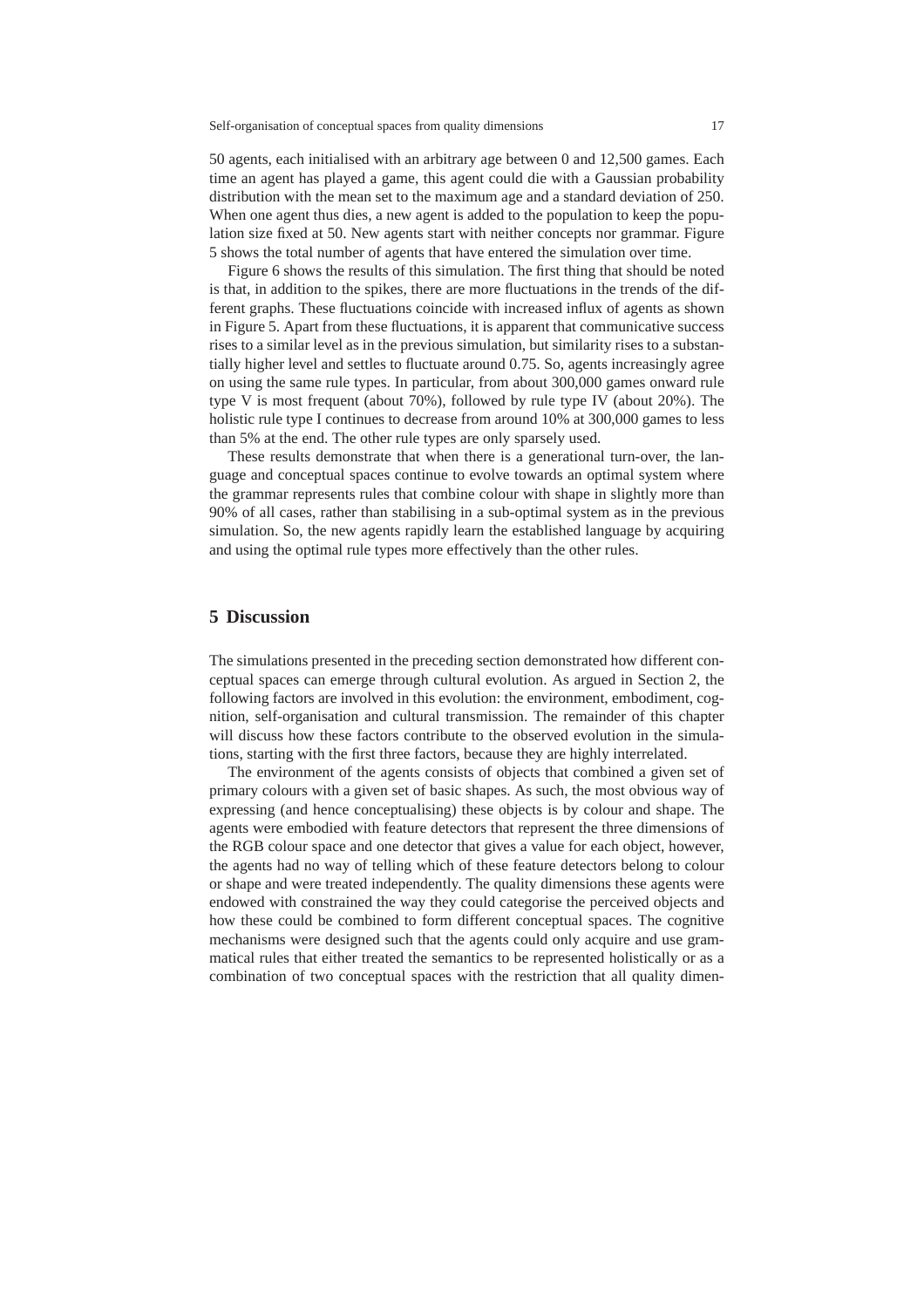50 agents, each initialised with an arbitrary age between 0 and 12,500 games. Each time an agent has played a game, this agent could die with a Gaussian probability distribution with the mean set to the maximum age and a standard deviation of 250. When one agent thus dies, a new agent is added to the population to keep the population size fixed at 50. New agents start with neither concepts nor grammar. Figure 5 shows the total number of agents that have entered the simulation over time.

Figure 6 shows the results of this simulation. The first thing that should be noted is that, in addition to the spikes, there are more fluctuations in the trends of the different graphs. These fluctuations coincide with increased influx of agents as shown in Figure 5. Apart from these fluctuations, it is apparent that communicative success rises to a similar level as in the previous simulation, but similarity rises to a substantially higher level and settles to fluctuate around 0.75. So, agents increasingly agree on using the same rule types. In particular, from about 300,000 games onward rule type V is most frequent (about 70%), followed by rule type IV (about 20%). The holistic rule type I continues to decrease from around 10% at 300,000 games to less than 5% at the end. The other rule types are only sparsely used.

These results demonstrate that when there is a generational turn-over, the language and conceptual spaces continue to evolve towards an optimal system where the grammar represents rules that combine colour with shape in slightly more than 90% of all cases, rather than stabilising in a sub-optimal system as in the previous simulation. So, the new agents rapidly learn the established language by acquiring and using the optimal rule types more effectively than the other rules.

#### **5 Discussion**

The simulations presented in the preceding section demonstrated how different conceptual spaces can emerge through cultural evolution. As argued in Section 2, the following factors are involved in this evolution: the environment, embodiment, cognition, self-organisation and cultural transmission. The remainder of this chapter will discuss how these factors contribute to the observed evolution in the simulations, starting with the first three factors, because they are highly interrelated.

The environment of the agents consists of objects that combined a given set of primary colours with a given set of basic shapes. As such, the most obvious way of expressing (and hence conceptualising) these objects is by colour and shape. The agents were embodied with feature detectors that represent the three dimensions of the RGB colour space and one detector that gives a value for each object, however, the agents had no way of telling which of these feature detectors belong to colour or shape and were treated independently. The quality dimensions these agents were endowed with constrained the way they could categorise the perceived objects and how these could be combined to form different conceptual spaces. The cognitive mechanisms were designed such that the agents could only acquire and use grammatical rules that either treated the semantics to be represented holistically or as a combination of two conceptual spaces with the restriction that all quality dimen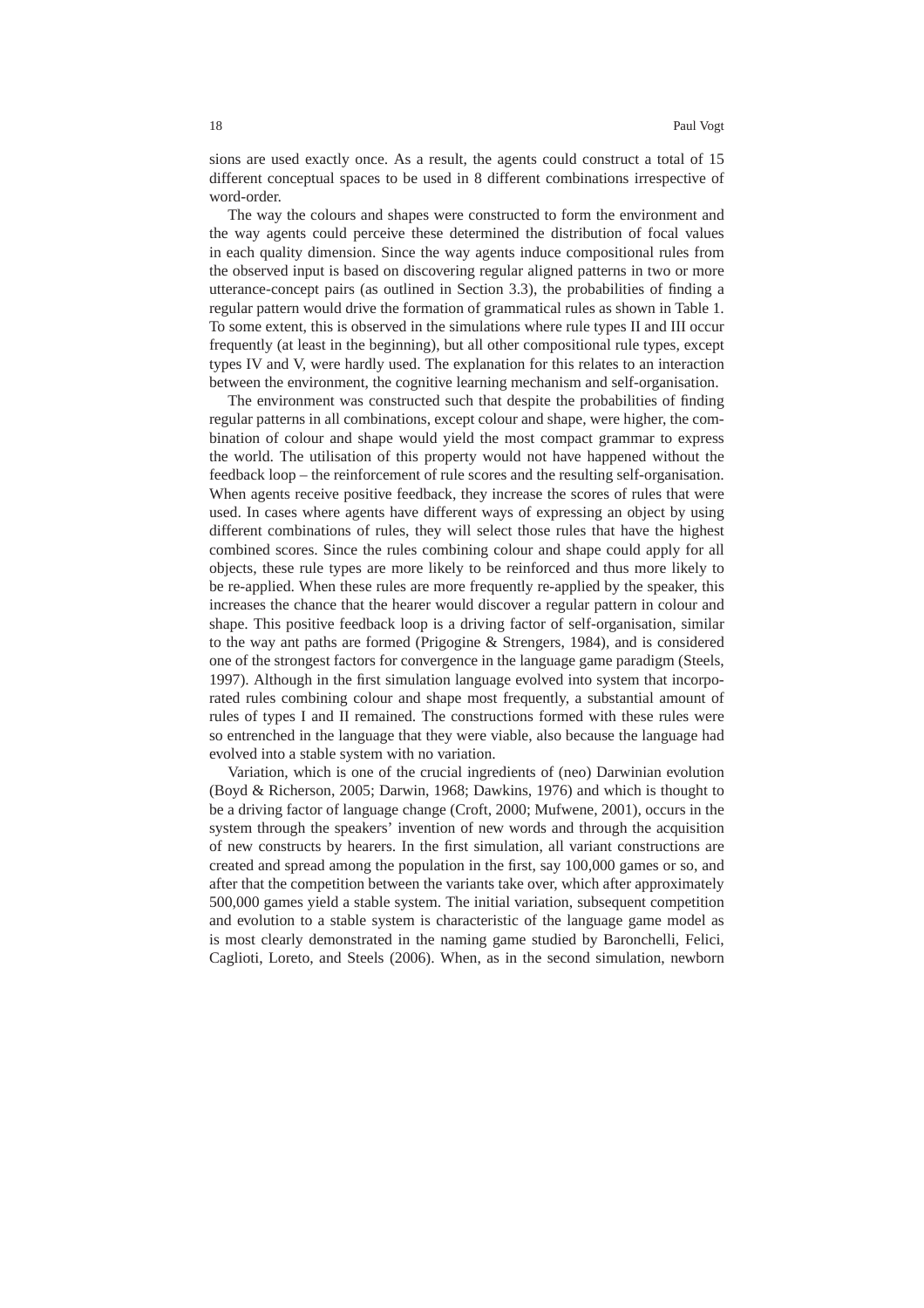sions are used exactly once. As a result, the agents could construct a total of 15 different conceptual spaces to be used in 8 different combinations irrespective of word-order.

The way the colours and shapes were constructed to form the environment and the way agents could perceive these determined the distribution of focal values in each quality dimension. Since the way agents induce compositional rules from the observed input is based on discovering regular aligned patterns in two or more utterance-concept pairs (as outlined in Section 3.3), the probabilities of finding a regular pattern would drive the formation of grammatical rules as shown in Table 1. To some extent, this is observed in the simulations where rule types II and III occur frequently (at least in the beginning), but all other compositional rule types, except types IV and V, were hardly used. The explanation for this relates to an interaction between the environment, the cognitive learning mechanism and self-organisation.

The environment was constructed such that despite the probabilities of finding regular patterns in all combinations, except colour and shape, were higher, the combination of colour and shape would yield the most compact grammar to express the world. The utilisation of this property would not have happened without the feedback loop – the reinforcement of rule scores and the resulting self-organisation. When agents receive positive feedback, they increase the scores of rules that were used. In cases where agents have different ways of expressing an object by using different combinations of rules, they will select those rules that have the highest combined scores. Since the rules combining colour and shape could apply for all objects, these rule types are more likely to be reinforced and thus more likely to be re-applied. When these rules are more frequently re-applied by the speaker, this increases the chance that the hearer would discover a regular pattern in colour and shape. This positive feedback loop is a driving factor of self-organisation, similar to the way ant paths are formed (Prigogine & Strengers, 1984), and is considered one of the strongest factors for convergence in the language game paradigm (Steels, 1997). Although in the first simulation language evolved into system that incorporated rules combining colour and shape most frequently, a substantial amount of rules of types I and II remained. The constructions formed with these rules were so entrenched in the language that they were viable, also because the language had evolved into a stable system with no variation.

Variation, which is one of the crucial ingredients of (neo) Darwinian evolution (Boyd & Richerson, 2005; Darwin, 1968; Dawkins, 1976) and which is thought to be a driving factor of language change (Croft, 2000; Mufwene, 2001), occurs in the system through the speakers' invention of new words and through the acquisition of new constructs by hearers. In the first simulation, all variant constructions are created and spread among the population in the first, say 100,000 games or so, and after that the competition between the variants take over, which after approximately 500,000 games yield a stable system. The initial variation, subsequent competition and evolution to a stable system is characteristic of the language game model as is most clearly demonstrated in the naming game studied by Baronchelli, Felici, Caglioti, Loreto, and Steels (2006). When, as in the second simulation, newborn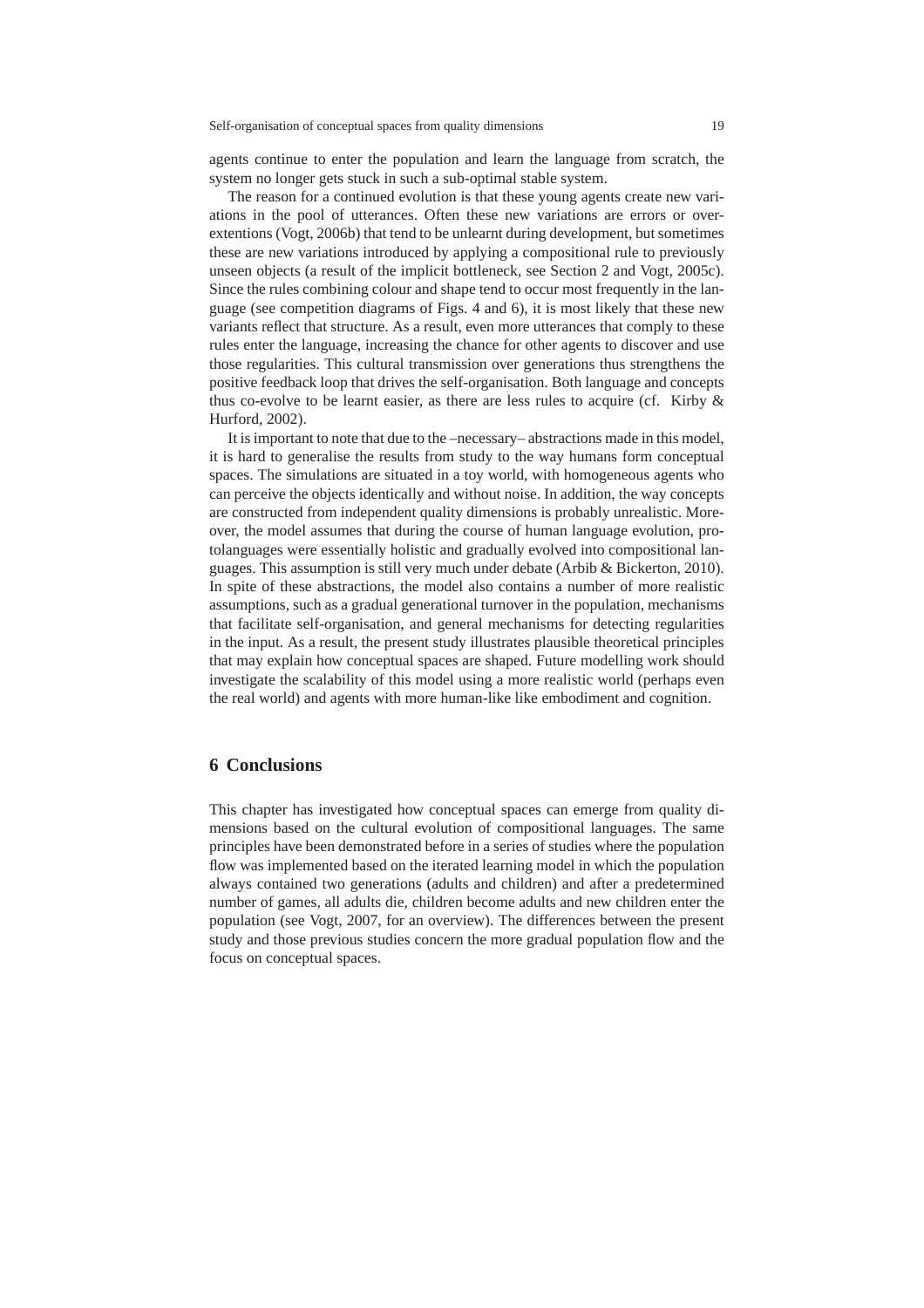agents continue to enter the population and learn the language from scratch, the system no longer gets stuck in such a sub-optimal stable system.

The reason for a continued evolution is that these young agents create new variations in the pool of utterances. Often these new variations are errors or overextentions (Vogt, 2006b) that tend to be unlearnt during development, but sometimes these are new variations introduced by applying a compositional rule to previously unseen objects (a result of the implicit bottleneck, see Section 2 and Vogt, 2005c). Since the rules combining colour and shape tend to occur most frequently in the language (see competition diagrams of Figs. 4 and 6), it is most likely that these new variants reflect that structure. As a result, even more utterances that comply to these rules enter the language, increasing the chance for other agents to discover and use those regularities. This cultural transmission over generations thus strengthens the positive feedback loop that drives the self-organisation. Both language and concepts thus co-evolve to be learnt easier, as there are less rules to acquire (cf. Kirby & Hurford, 2002).

It is important to note that due to the –necessary– abstractions made in this model, it is hard to generalise the results from study to the way humans form conceptual spaces. The simulations are situated in a toy world, with homogeneous agents who can perceive the objects identically and without noise. In addition, the way concepts are constructed from independent quality dimensions is probably unrealistic. Moreover, the model assumes that during the course of human language evolution, protolanguages were essentially holistic and gradually evolved into compositional languages. This assumption is still very much under debate (Arbib & Bickerton, 2010). In spite of these abstractions, the model also contains a number of more realistic assumptions, such as a gradual generational turnover in the population, mechanisms that facilitate self-organisation, and general mechanisms for detecting regularities in the input. As a result, the present study illustrates plausible theoretical principles that may explain how conceptual spaces are shaped. Future modelling work should investigate the scalability of this model using a more realistic world (perhaps even the real world) and agents with more human-like like embodiment and cognition.

# **6 Conclusions**

This chapter has investigated how conceptual spaces can emerge from quality dimensions based on the cultural evolution of compositional languages. The same principles have been demonstrated before in a series of studies where the population flow was implemented based on the iterated learning model in which the population always contained two generations (adults and children) and after a predetermined number of games, all adults die, children become adults and new children enter the population (see Vogt, 2007, for an overview). The differences between the present study and those previous studies concern the more gradual population flow and the focus on conceptual spaces.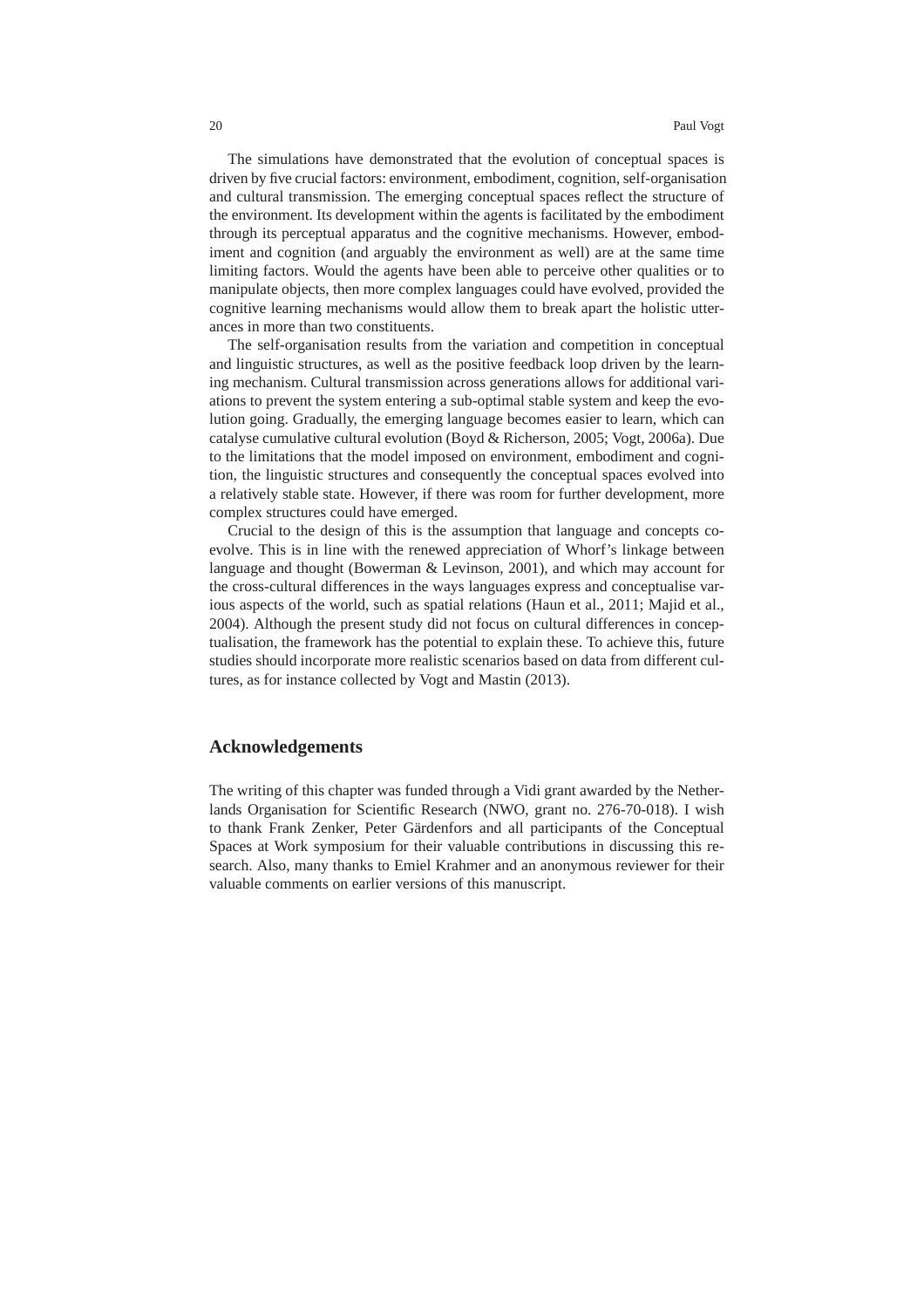The simulations have demonstrated that the evolution of conceptual spaces is driven by five crucial factors: environment, embodiment, cognition, self-organisation and cultural transmission. The emerging conceptual spaces reflect the structure of the environment. Its development within the agents is facilitated by the embodiment through its perceptual apparatus and the cognitive mechanisms. However, embodiment and cognition (and arguably the environment as well) are at the same time limiting factors. Would the agents have been able to perceive other qualities or to manipulate objects, then more complex languages could have evolved, provided the cognitive learning mechanisms would allow them to break apart the holistic utterances in more than two constituents.

The self-organisation results from the variation and competition in conceptual and linguistic structures, as well as the positive feedback loop driven by the learning mechanism. Cultural transmission across generations allows for additional variations to prevent the system entering a sub-optimal stable system and keep the evolution going. Gradually, the emerging language becomes easier to learn, which can catalyse cumulative cultural evolution (Boyd & Richerson, 2005; Vogt, 2006a). Due to the limitations that the model imposed on environment, embodiment and cognition, the linguistic structures and consequently the conceptual spaces evolved into a relatively stable state. However, if there was room for further development, more complex structures could have emerged.

Crucial to the design of this is the assumption that language and concepts coevolve. This is in line with the renewed appreciation of Whorf's linkage between language and thought (Bowerman & Levinson, 2001), and which may account for the cross-cultural differences in the ways languages express and conceptualise various aspects of the world, such as spatial relations (Haun et al., 2011; Majid et al., 2004). Although the present study did not focus on cultural differences in conceptualisation, the framework has the potential to explain these. To achieve this, future studies should incorporate more realistic scenarios based on data from different cultures, as for instance collected by Vogt and Mastin (2013).

#### **Acknowledgements**

The writing of this chapter was funded through a Vidi grant awarded by the Netherlands Organisation for Scientific Research (NWO, grant no. 276-70-018). I wish to thank Frank Zenker, Peter Gärdenfors and all participants of the Conceptual Spaces at Work symposium for their valuable contributions in discussing this research. Also, many thanks to Emiel Krahmer and an anonymous reviewer for their valuable comments on earlier versions of this manuscript.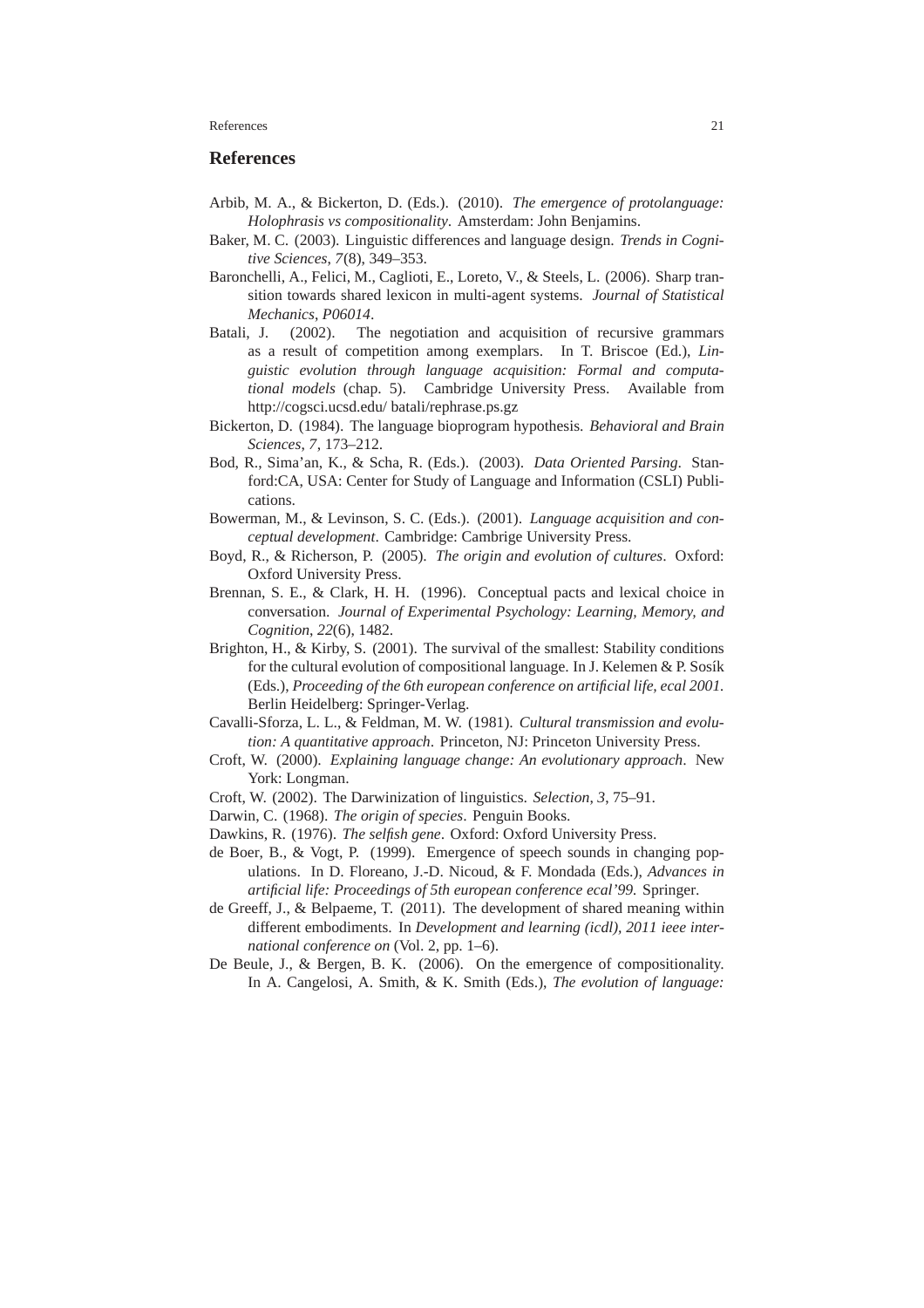#### References 21

## **References**

- Arbib, M. A., & Bickerton, D. (Eds.). (2010). *The emergence of protolanguage: Holophrasis vs compositionality*. Amsterdam: John Benjamins.
- Baker, M. C. (2003). Linguistic differences and language design. *Trends in Cognitive Sciences*, *7*(8), 349–353.
- Baronchelli, A., Felici, M., Caglioti, E., Loreto, V., & Steels, L. (2006). Sharp transition towards shared lexicon in multi-agent systems. *Journal of Statistical Mechanics*, *P06014*.
- Batali, J. (2002). The negotiation and acquisition of recursive grammars as a result of competition among exemplars. In T. Briscoe (Ed.), *Linguistic evolution through language acquisition: Formal and computational models* (chap. 5). Cambridge University Press. Available from http://cogsci.ucsd.edu/ batali/rephrase.ps.gz
- Bickerton, D. (1984). The language bioprogram hypothesis. *Behavioral and Brain Sciences*, *7*, 173–212.
- Bod, R., Sima'an, K., & Scha, R. (Eds.). (2003). *Data Oriented Parsing*. Stanford:CA, USA: Center for Study of Language and Information (CSLI) Publications.
- Bowerman, M., & Levinson, S. C. (Eds.). (2001). *Language acquisition and conceptual development*. Cambridge: Cambrige University Press.
- Boyd, R., & Richerson, P. (2005). *The origin and evolution of cultures*. Oxford: Oxford University Press.
- Brennan, S. E., & Clark, H. H. (1996). Conceptual pacts and lexical choice in conversation. *Journal of Experimental Psychology: Learning, Memory, and Cognition*, *22*(6), 1482.
- Brighton, H., & Kirby, S. (2001). The survival of the smallest: Stability conditions for the cultural evolution of compositional language. In J. Kelemen & P. Sosík (Eds.), *Proceeding of the 6th european conference on artificial life, ecal 2001.* Berlin Heidelberg: Springer-Verlag.
- Cavalli-Sforza, L. L., & Feldman, M. W. (1981). *Cultural transmission and evolution: A quantitative approach*. Princeton, NJ: Princeton University Press.
- Croft, W. (2000). *Explaining language change: An evolutionary approach*. New York: Longman.
- Croft, W. (2002). The Darwinization of linguistics. *Selection*, *3*, 75–91.
- Darwin, C. (1968). *The origin of species*. Penguin Books.
- Dawkins, R. (1976). *The selfish gene*. Oxford: Oxford University Press.
- de Boer, B., & Vogt, P. (1999). Emergence of speech sounds in changing populations. In D. Floreano, J.-D. Nicoud, & F. Mondada (Eds.), *Advances in artificial life: Proceedings of 5th european conference ecal'99.* Springer.
- de Greeff, J., & Belpaeme, T. (2011). The development of shared meaning within different embodiments. In *Development and learning (icdl), 2011 ieee international conference on* (Vol. 2, pp. 1–6).
- De Beule, J., & Bergen, B. K. (2006). On the emergence of compositionality. In A. Cangelosi, A. Smith, & K. Smith (Eds.), *The evolution of language:*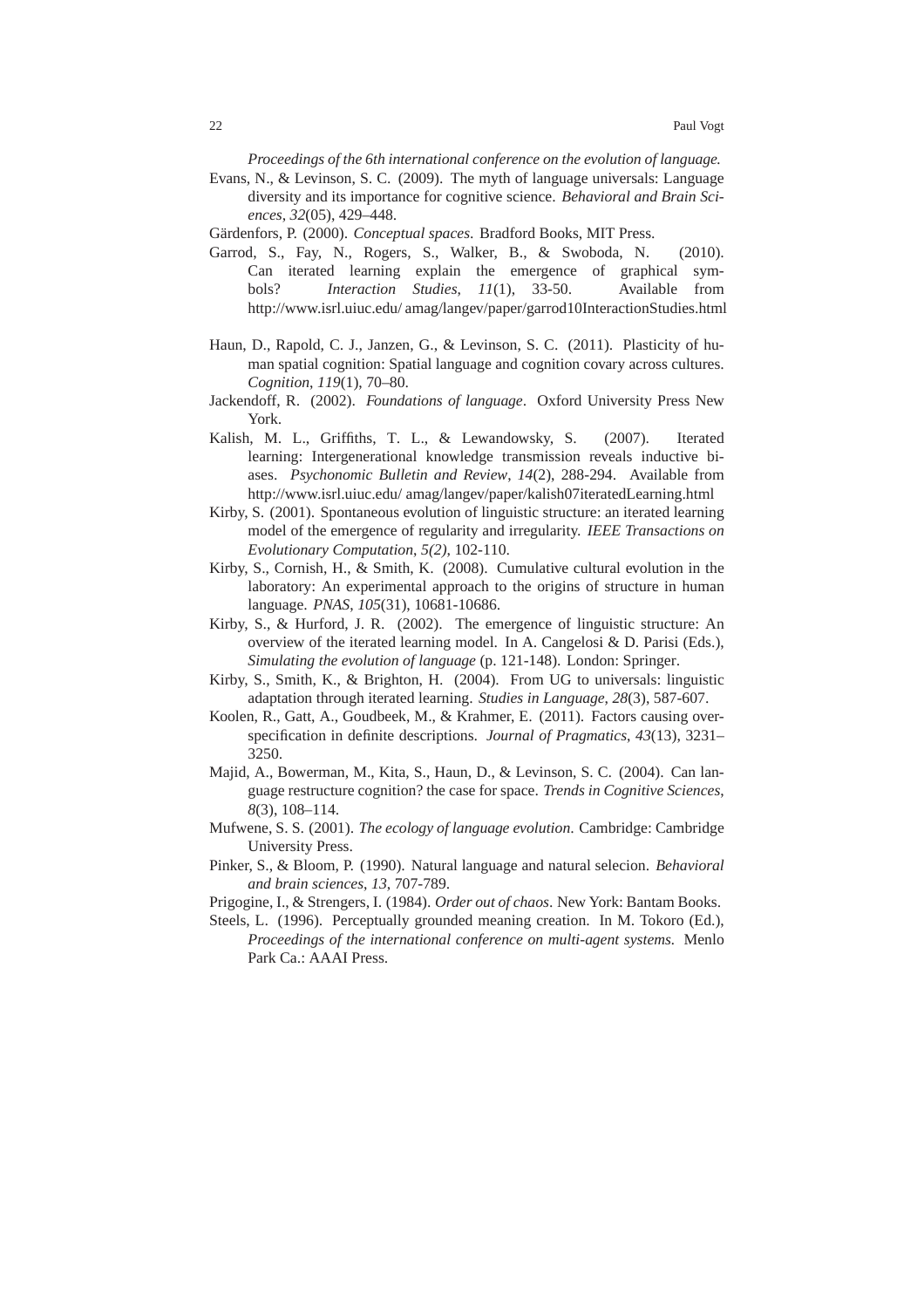*Proceedings of the 6th international conference on the evolution of language.*

Evans, N., & Levinson, S. C. (2009). The myth of language universals: Language diversity and its importance for cognitive science. *Behavioral and Brain Sciences*, *32*(05), 429–448.

Gärdenfors, P. (2000). *Conceptual spaces*. Bradford Books, MIT Press.

- Garrod, S., Fay, N., Rogers, S., Walker, B., & Swoboda, N. (2010). Can iterated learning explain the emergence of graphical symbols? *Interaction Studies*, *11*(1), 33-50. Available from http://www.isrl.uiuc.edu/ amag/langev/paper/garrod10InteractionStudies.html
- Haun, D., Rapold, C. J., Janzen, G., & Levinson, S. C. (2011). Plasticity of human spatial cognition: Spatial language and cognition covary across cultures. *Cognition*, *119*(1), 70–80.
- Jackendoff, R. (2002). *Foundations of language*. Oxford University Press New York.
- Kalish, M. L., Griffiths, T. L., & Lewandowsky, S. (2007). Iterated learning: Intergenerational knowledge transmission reveals inductive biases. *Psychonomic Bulletin and Review*, *14*(2), 288-294. Available from http://www.isrl.uiuc.edu/ amag/langev/paper/kalish07iteratedLearning.html
- Kirby, S. (2001). Spontaneous evolution of linguistic structure: an iterated learning model of the emergence of regularity and irregularity. *IEEE Transactions on Evolutionary Computation*, *5(2)*, 102-110.
- Kirby, S., Cornish, H., & Smith, K. (2008). Cumulative cultural evolution in the laboratory: An experimental approach to the origins of structure in human language. *PNAS*, *105*(31), 10681-10686.
- Kirby, S., & Hurford, J. R. (2002). The emergence of linguistic structure: An overview of the iterated learning model. In A. Cangelosi & D. Parisi (Eds.), *Simulating the evolution of language* (p. 121-148). London: Springer.
- Kirby, S., Smith, K., & Brighton, H. (2004). From UG to universals: linguistic adaptation through iterated learning. *Studies in Language*, *28*(3), 587-607.
- Koolen, R., Gatt, A., Goudbeek, M., & Krahmer, E. (2011). Factors causing overspecification in definite descriptions. *Journal of Pragmatics*, *43*(13), 3231– 3250.
- Majid, A., Bowerman, M., Kita, S., Haun, D., & Levinson, S. C. (2004). Can language restructure cognition? the case for space. *Trends in Cognitive Sciences*, *8*(3), 108–114.
- Mufwene, S. S. (2001). *The ecology of language evolution*. Cambridge: Cambridge University Press.
- Pinker, S., & Bloom, P. (1990). Natural language and natural selecion. *Behavioral and brain sciences*, *13*, 707-789.
- Prigogine, I., & Strengers, I. (1984). *Order out of chaos*. New York: Bantam Books.
- Steels, L. (1996). Perceptually grounded meaning creation. In M. Tokoro (Ed.), *Proceedings of the international conference on multi-agent systems.* Menlo Park Ca.: AAAI Press.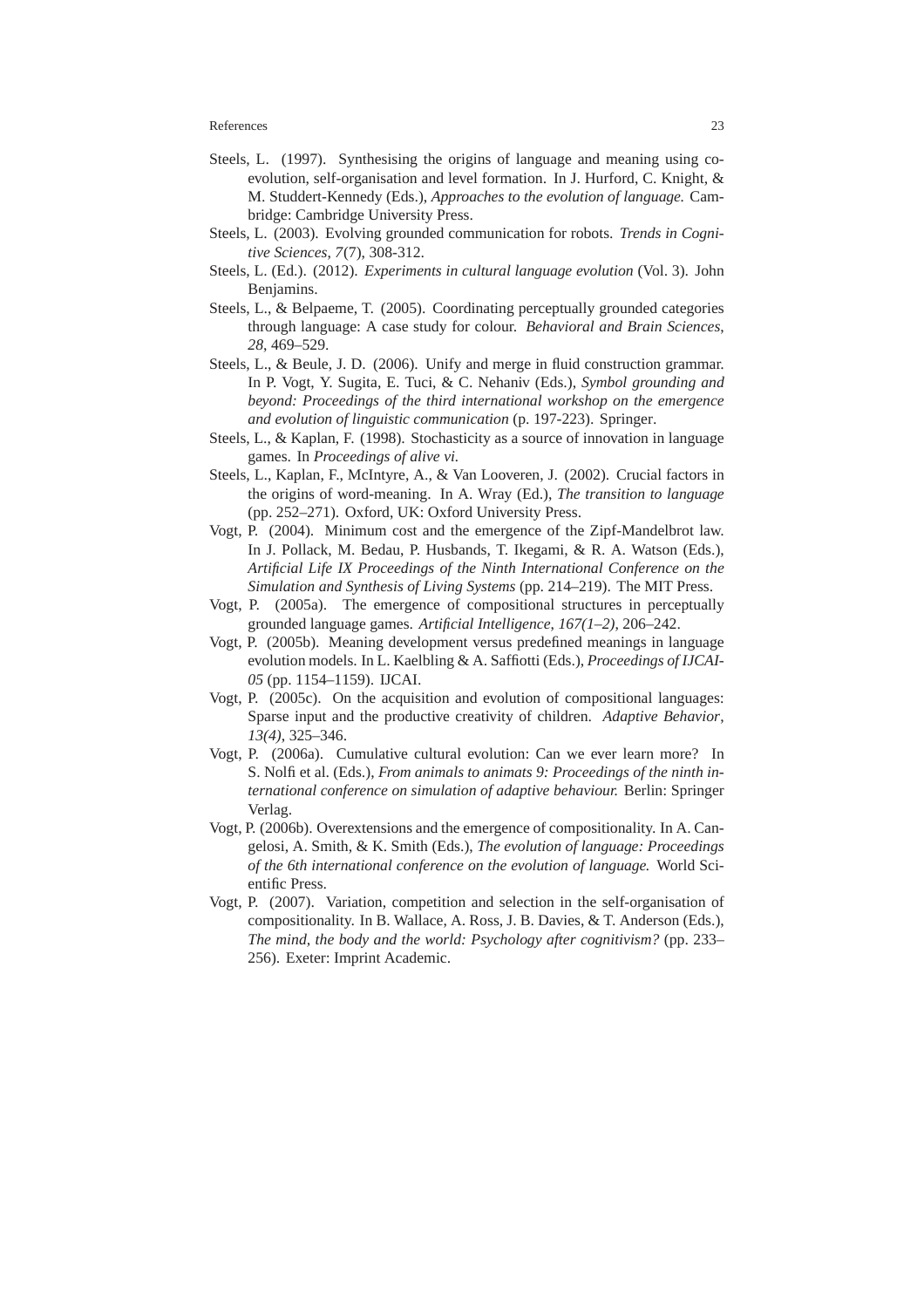#### References 23

- Steels, L. (1997). Synthesising the origins of language and meaning using coevolution, self-organisation and level formation. In J. Hurford, C. Knight, & M. Studdert-Kennedy (Eds.), *Approaches to the evolution of language.* Cambridge: Cambridge University Press.
- Steels, L. (2003). Evolving grounded communication for robots. *Trends in Cognitive Sciences*, *7*(7), 308-312.
- Steels, L. (Ed.). (2012). *Experiments in cultural language evolution* (Vol. 3). John Benjamins.
- Steels, L., & Belpaeme, T. (2005). Coordinating perceptually grounded categories through language: A case study for colour. *Behavioral and Brain Sciences*, *28*, 469–529.
- Steels, L., & Beule, J. D. (2006). Unify and merge in fluid construction grammar. In P. Vogt, Y. Sugita, E. Tuci, & C. Nehaniv (Eds.), *Symbol grounding and beyond: Proceedings of the third international workshop on the emergence and evolution of linguistic communication* (p. 197-223). Springer.
- Steels, L., & Kaplan, F. (1998). Stochasticity as a source of innovation in language games. In *Proceedings of alive vi.*
- Steels, L., Kaplan, F., McIntyre, A., & Van Looveren, J. (2002). Crucial factors in the origins of word-meaning. In A. Wray (Ed.), *The transition to language* (pp. 252–271). Oxford, UK: Oxford University Press.
- Vogt, P. (2004). Minimum cost and the emergence of the Zipf-Mandelbrot law. In J. Pollack, M. Bedau, P. Husbands, T. Ikegami, & R. A. Watson (Eds.), *Artificial Life IX Proceedings of the Ninth International Conference on the Simulation and Synthesis of Living Systems* (pp. 214–219). The MIT Press.
- Vogt, P. (2005a). The emergence of compositional structures in perceptually grounded language games. *Artificial Intelligence*, *167(1–2)*, 206–242.
- Vogt, P. (2005b). Meaning development versus predefined meanings in language evolution models. In L. Kaelbling & A. Saffiotti (Eds.), *Proceedings of IJCAI-05* (pp. 1154–1159). IJCAI.
- Vogt, P. (2005c). On the acquisition and evolution of compositional languages: Sparse input and the productive creativity of children. *Adaptive Behavior*, *13(4)*, 325–346.
- Vogt, P. (2006a). Cumulative cultural evolution: Can we ever learn more? In S. Nolfi et al. (Eds.), *From animals to animats 9: Proceedings of the ninth international conference on simulation of adaptive behaviour.* Berlin: Springer Verlag.
- Vogt, P. (2006b). Overextensions and the emergence of compositionality. In A. Cangelosi, A. Smith, & K. Smith (Eds.), *The evolution of language: Proceedings of the 6th international conference on the evolution of language.* World Scientific Press.
- Vogt, P. (2007). Variation, competition and selection in the self-organisation of compositionality. In B. Wallace, A. Ross, J. B. Davies, & T. Anderson (Eds.), *The mind, the body and the world: Psychology after cognitivism?* (pp. 233– 256). Exeter: Imprint Academic.